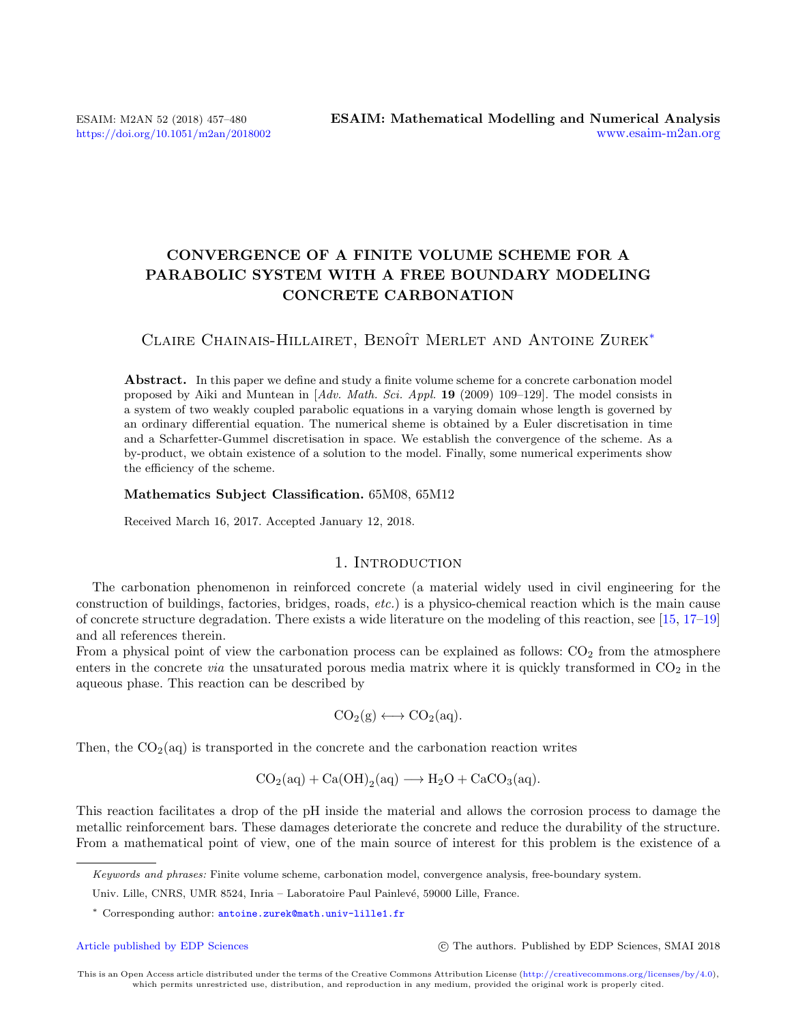# CONVERGENCE OF A FINITE VOLUME SCHEME FOR A PARABOLIC SYSTEM WITH A FREE BOUNDARY MODELING CONCRETE CARBONATION

# CLAIRE CHAINAIS-HILLAIRET, BENOÎT MERLET AND ANTOINE ZUREK<sup>[\\*](#page-0-0)</sup>

Abstract. In this paper we define and study a finite volume scheme for a concrete carbonation model proposed by Aiki and Muntean in  $[Adv, Math. Sci. Appl. 19 (2009) 109-129]$ . The model consists in a system of two weakly coupled parabolic equations in a varying domain whose length is governed by an ordinary differential equation. The numerical sheme is obtained by a Euler discretisation in time and a Scharfetter-Gummel discretisation in space. We establish the convergence of the scheme. As a by-product, we obtain existence of a solution to the model. Finally, some numerical experiments show the efficiency of the scheme.

### Mathematics Subject Classification. 65M08, 65M12

Received March 16, 2017. Accepted January 12, 2018.

## 1. INTRODUCTION

The carbonation phenomenon in reinforced concrete (a material widely used in civil engineering for the construction of buildings, factories, bridges, roads, etc.) is a physico-chemical reaction which is the main cause of concrete structure degradation. There exists a wide literature on the modeling of this reaction, see [\[15,](#page-23-0) [17–](#page-23-1)[19\]](#page-23-2) and all references therein.

From a physical point of view the carbonation process can be explained as follows:  $CO<sub>2</sub>$  from the atmosphere enters in the concrete *via* the unsaturated porous media matrix where it is quickly transformed in  $CO<sub>2</sub>$  in the aqueous phase. This reaction can be described by

$$
CO_2(g) \longleftrightarrow CO_2(aq).
$$

Then, the  $CO<sub>2</sub>(aq)$  is transported in the concrete and the carbonation reaction writes

$$
\operatorname{CO_2(aq)} + \operatorname{Ca(OH)}_2(aq) \longrightarrow \operatorname{H_2O} + \operatorname{CaCO_3(aq)}.
$$

This reaction facilitates a drop of the pH inside the material and allows the corrosion process to damage the metallic reinforcement bars. These damages deteriorate the concrete and reduce the durability of the structure. From a mathematical point of view, one of the main source of interest for this problem is the existence of a

[Article published by EDP Sciences](http://www.edpsciences.org) (C) The authors. Published by EDP Sciences, SMAI 2018

This is an Open Access article distributed under the terms of the Creative Commons Attribution License [\(http://creativecommons.org/licenses/by/4.0\)](http://creativecommons.org/licenses/by/4.0), which permits unrestricted use, distribution, and reproduction in any medium, provided the original work is properly cited.

<span id="page-0-0"></span>Keywords and phrases: Finite volume scheme, carbonation model, convergence analysis, free-boundary system.

Univ. Lille, CNRS, UMR 8524, Inria – Laboratoire Paul Painlevé, 59000 Lille, France.

<sup>\*</sup> Corresponding author: [antoine.zurek@math.univ-lille1.fr](mailto:antoine.zurek@math.univ-lille1.fr )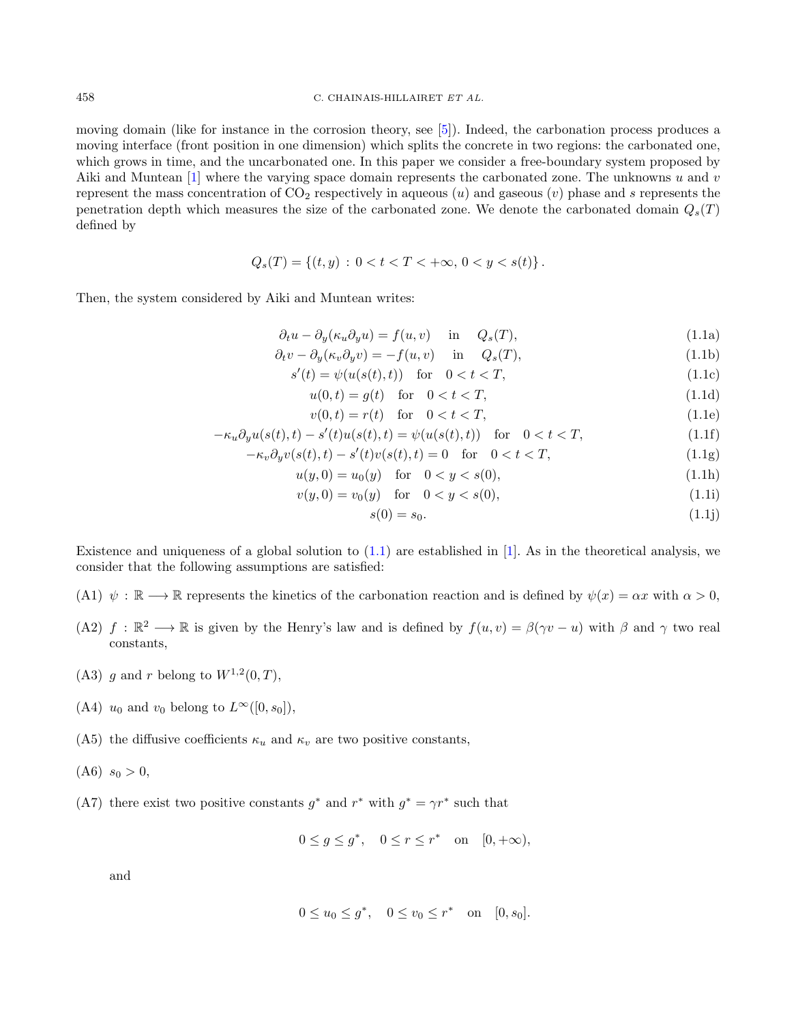moving domain (like for instance in the corrosion theory, see [\[5\]](#page-22-0)). Indeed, the carbonation process produces a moving interface (front position in one dimension) which splits the concrete in two regions: the carbonated one, which grows in time, and the uncarbonated one. In this paper we consider a free-boundary system proposed by Aiki and Muntean  $[1]$  where the varying space domain represents the carbonated zone. The unknowns u and v represent the mass concentration of  $CO<sub>2</sub>$  respectively in aqueous (u) and gaseous (v) phase and s represents the penetration depth which measures the size of the carbonated zone. We denote the carbonated domain  $Q_s(T)$ defined by

$$
Q_s(T) = \{(t, y) : 0 < t < T < +\infty, 0 < y < s(t)\}.
$$

Then, the system considered by Aiki and Muntean writes:

<span id="page-1-0"></span>
$$
\partial_t u - \partial_y(\kappa_u \partial_y u) = f(u, v) \quad \text{in} \quad Q_s(T), \tag{1.1a}
$$

$$
\partial_t v - \partial_y(\kappa_v \partial_y v) = -f(u, v) \quad \text{in} \quad Q_s(T), \tag{1.1b}
$$

$$
s'(t) = \psi(u(s(t), t)) \quad \text{for} \quad 0 < t < T,\tag{1.1c}
$$

$$
u(0,t) = g(t) \quad \text{for} \quad 0 < t < T,\tag{1.1d}
$$

$$
v(0,t) = r(t) \quad \text{for} \quad 0 < t < T,\tag{1.1e}
$$

$$
-\kappa_u \partial_y u(s(t),t) - s'(t)u(s(t),t) = \psi(u(s(t),t)) \quad \text{for} \quad 0 < t < T,\tag{1.1f}
$$

$$
-\kappa_v \partial_y v(s(t),t) - s'(t)v(s(t),t) = 0 \quad \text{for} \quad 0 < t < T,\tag{1.1g}
$$

$$
u(y,0) = u_0(y) \quad \text{for} \quad 0 < y < s(0),\tag{1.1h}
$$

$$
v(y,0) = v_0(y) \quad \text{for} \quad 0 < y < s(0),\tag{1.1}
$$

<span id="page-1-1"></span>
$$
s(0) = s_0. \tag{1.1j}
$$

Existence and uniqueness of a global solution to  $(1.1)$  are established in [\[1\]](#page-22-1). As in the theoretical analysis, we consider that the following assumptions are satisfied:

- (A1)  $\psi : \mathbb{R} \longrightarrow \mathbb{R}$  represents the kinetics of the carbonation reaction and is defined by  $\psi(x) = \alpha x$  with  $\alpha > 0$ ,
- (A2)  $f : \mathbb{R}^2 \to \mathbb{R}$  is given by the Henry's law and is defined by  $f(u, v) = \beta(\gamma v u)$  with  $\beta$  and  $\gamma$  two real constants,
- (A3) g and r belong to  $W^{1,2}(0,T)$ ,
- (A4)  $u_0$  and  $v_0$  belong to  $L^{\infty}([0, s_0]),$
- (A5) the diffusive coefficients  $\kappa_u$  and  $\kappa_v$  are two positive constants,
- $(A6)$   $s_0 > 0$ ,
- (A7) there exist two positive constants  $g^*$  and  $r^*$  with  $g^* = \gamma r^*$  such that

$$
0 \le g \le g^*, \quad 0 \le r \le r^* \quad \text{on} \quad [0, +\infty),
$$

and

$$
0 \le u_0 \le g^*, \quad 0 \le v_0 \le r^* \quad \text{on} \quad [0, s_0].
$$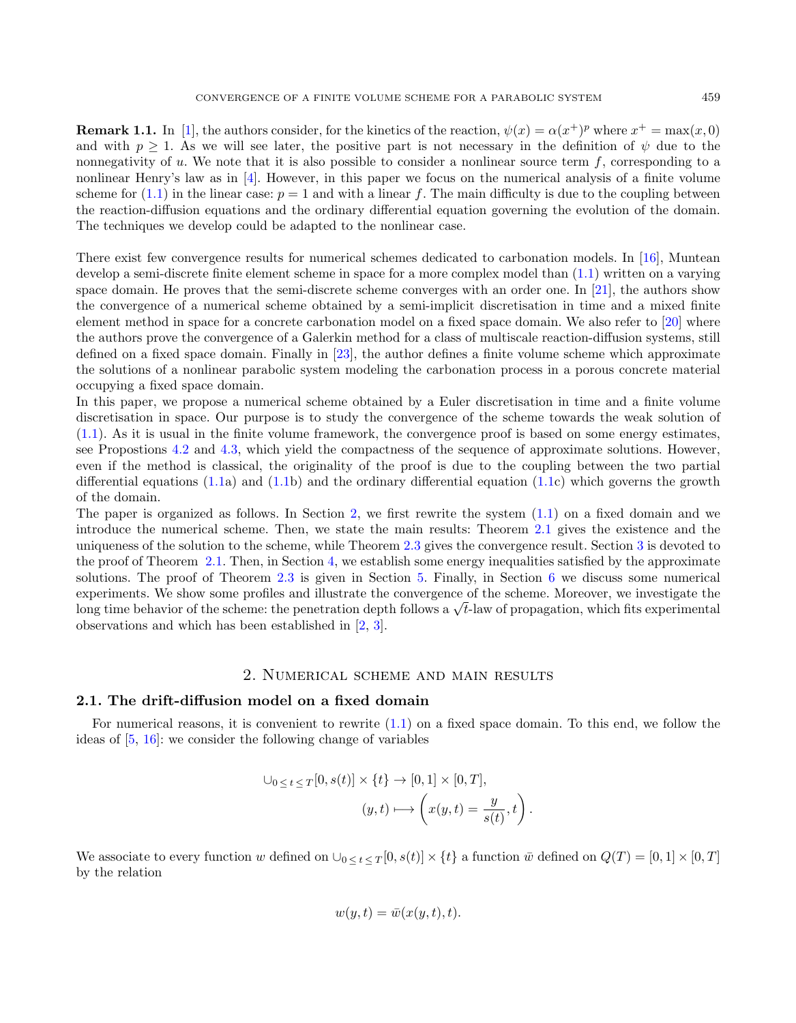**Remark 1.1.** In [\[1\]](#page-22-1), the authors consider, for the kinetics of the reaction,  $\psi(x) = \alpha(x^+)^p$  where  $x^+ = \max(x, 0)$ and with  $p > 1$ . As we will see later, the positive part is not necessary in the definition of  $\psi$  due to the nonnegativity of  $u$ . We note that it is also possible to consider a nonlinear source term  $f$ , corresponding to a nonlinear Henry's law as in [\[4\]](#page-22-2). However, in this paper we focus on the numerical analysis of a finite volume scheme for [\(1.1\)](#page-1-0) in the linear case:  $p = 1$  and with a linear f. The main difficulty is due to the coupling between the reaction-diffusion equations and the ordinary differential equation governing the evolution of the domain. The techniques we develop could be adapted to the nonlinear case.

There exist few convergence results for numerical schemes dedicated to carbonation models. In [\[16\]](#page-23-3), Muntean develop a semi-discrete finite element scheme in space for a more complex model than [\(1.1\)](#page-1-0) written on a varying space domain. He proves that the semi-discrete scheme converges with an order one. In [\[21\]](#page-23-4), the authors show the convergence of a numerical scheme obtained by a semi-implicit discretisation in time and a mixed finite element method in space for a concrete carbonation model on a fixed space domain. We also refer to [\[20\]](#page-23-5) where the authors prove the convergence of a Galerkin method for a class of multiscale reaction-diffusion systems, still defined on a fixed space domain. Finally in [\[23\]](#page-23-6), the author defines a finite volume scheme which approximate the solutions of a nonlinear parabolic system modeling the carbonation process in a porous concrete material occupying a fixed space domain.

In this paper, we propose a numerical scheme obtained by a Euler discretisation in time and a finite volume discretisation in space. Our purpose is to study the convergence of the scheme towards the weak solution of [\(1.1\)](#page-1-0). As it is usual in the finite volume framework, the convergence proof is based on some energy estimates, see Propostions [4.2](#page-10-0) and [4.3,](#page-14-0) which yield the compactness of the sequence of approximate solutions. However, even if the method is classical, the originality of the proof is due to the coupling between the two partial differential equations [\(1.1a](#page-1-0)) and [\(1.1b](#page-1-0)) and the ordinary differential equation [\(1.1c](#page-1-0)) which governs the growth of the domain.

The paper is organized as follows. In Section [2,](#page-2-0) we first rewrite the system [\(1.1\)](#page-1-0) on a fixed domain and we introduce the numerical scheme. Then, we state the main results: Theorem [2.1](#page-5-0) gives the existence and the uniqueness of the solution to the scheme, while Theorem [2.3](#page-6-0) gives the convergence result. Section [3](#page-7-0) is devoted to the proof of Theorem [2.1.](#page-5-0) Then, in Section [4,](#page-9-0) we establish some energy inequalities satisfied by the approximate solutions. The proof of Theorem [2.3](#page-6-0) is given in Section [5.](#page-16-0) Finally, in Section [6](#page-20-0) we discuss some numerical experiments. We show some profiles and illustrate the convergence of the scheme. Moreover, we investigate the experiments. We show some pronies and inustrate the convergence of the scheme. Moreover, we investigate the long time behavior of the scheme: the penetration depth follows a  $\sqrt{t}$ -law of propagation, which fits experime observations and which has been established in [\[2,](#page-22-3) [3\]](#page-22-4).

## 2. Numerical scheme and main results

### <span id="page-2-0"></span>2.1. The drift-diffusion model on a fixed domain

For numerical reasons, it is convenient to rewrite  $(1.1)$  on a fixed space domain. To this end, we follow the ideas of [\[5,](#page-22-0) [16\]](#page-23-3): we consider the following change of variables

$$
\bigcup_{0 \leq t \leq T} [0, s(t)] \times \{t\} \to [0, 1] \times [0, T],
$$

$$
(y, t) \longmapsto \left(x(y, t) = \frac{y}{s(t)}, t\right)
$$

.

We associate to every function w defined on  $\cup_{0 \leq t \leq T} [0, s(t)] \times \{t\}$  a function  $\bar{w}$  defined on  $Q(T) = [0, 1] \times [0, T]$ by the relation

$$
w(y,t) = \bar{w}(x(y,t),t).
$$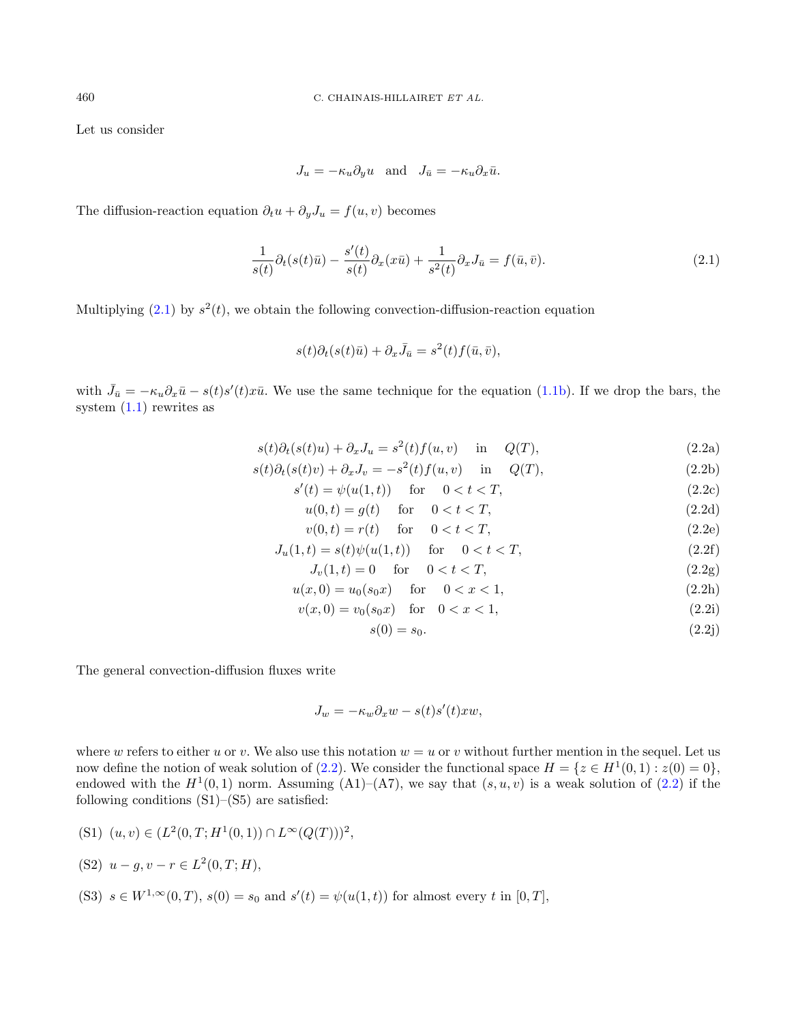Let us consider

$$
J_u = -\kappa_u \partial_y u \quad \text{and} \quad J_{\bar{u}} = -\kappa_u \partial_x \bar{u}.
$$

The diffusion-reaction equation  $\partial_t u + \partial_y J_u = f(u, v)$  becomes

<span id="page-3-0"></span>
$$
\frac{1}{s(t)}\partial_t(s(t)\bar{u}) - \frac{s'(t)}{s(t)}\partial_x(x\bar{u}) + \frac{1}{s^2(t)}\partial_x J_{\bar{u}} = f(\bar{u}, \bar{v}).\tag{2.1}
$$

Multiplying  $(2.1)$  by  $s^2(t)$ , we obtain the following convection-diffusion-reaction equation

$$
s(t)\partial_t(s(t)\bar{u}) + \partial_x\bar{J}_{\bar{u}} = s^2(t)f(\bar{u},\bar{v}),
$$

with  $\bar{J}_{\bar{u}} = -\kappa_u \partial_x \bar{u} - s(t)s'(t)x\bar{u}$ . We use the same technique for the equation [\(1.1b\)](#page-1-1). If we drop the bars, the system  $(1.1)$  rewrites as

<span id="page-3-1"></span>
$$
s(t)\partial_t(s(t)u) + \partial_x J_u = s^2(t)f(u,v) \quad \text{in} \quad Q(T),
$$
\n(2.2a)

$$
s(t)\partial_t(s(t)v) + \partial_x J_v = -s^2(t)f(u,v) \quad \text{in} \quad Q(T),\tag{2.2b}
$$

 $s'(t) = \psi(u(1, t))$  for  $0 < t < T$ , (2.2c)

$$
u(0,t) = g(t)
$$
 for  $0 < t < T$ , (2.2d)

$$
v(0,t) = r(t) \quad \text{for} \quad 0 < t < T,\tag{2.2e}
$$

$$
J_u(1,t) = s(t)\psi(u(1,t)) \quad \text{for} \quad 0 < t < T,
$$
\n(2.2f)

 $J_v(1,t) = 0 \quad \text{for} \quad 0 < t < T,$ (2.2g)

$$
u(x,0) = u_0(s_0x) \quad \text{for} \quad 0 < x < 1,\tag{2.2h}
$$

$$
v(x,0) = v_0(s_0x) \quad \text{for} \quad 0 < x < 1,\tag{2.2i}
$$

$$
s(0) = s_0. \tag{2.2}
$$

The general convection-diffusion fluxes write

$$
J_w = -\kappa_w \partial_x w - s(t)s'(t)xw,
$$

where w refers to either u or v. We also use this notation  $w = u$  or v without further mention in the sequel. Let us now define the notion of weak solution of [\(2.2\)](#page-3-1). We consider the functional space  $H = \{z \in H^1(0,1) : z(0) = 0\},\$ endowed with the  $H^1(0,1)$  norm. Assuming  $(A1)$ – $(A7)$ , we say that  $(s, u, v)$  is a weak solution of  $(2.2)$  if the following conditions  $(S1)$ – $(S5)$  are satisfied:

(S1) 
$$
(u, v) \in (L^2(0,T; H^1(0,1)) \cap L^{\infty}(Q(T)))^2
$$
,

(S2) 
$$
u - g, v - r \in L^2(0, T; H),
$$

(S3) 
$$
s \in W^{1,\infty}(0,T)
$$
,  $s(0) = s_0$  and  $s'(t) = \psi(u(1,t))$  for almost every t in  $[0,T]$ ,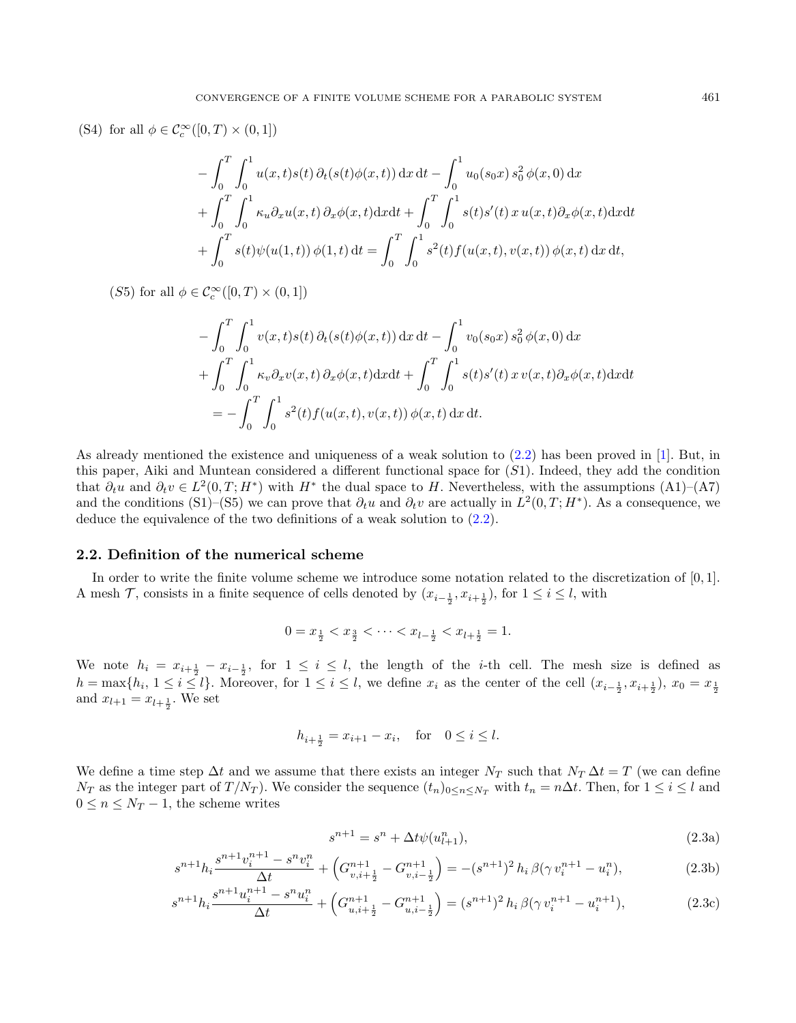(S4) for all  $\phi \in C_c^{\infty}([0, T) \times (0, 1])$ 

$$
- \int_0^T \int_0^1 u(x, t) s(t) \, \partial_t (s(t) \phi(x, t)) \, dx \, dt - \int_0^1 u_0(s_0 x) \, s_0^2 \, \phi(x, 0) \, dx + \int_0^T \int_0^1 \kappa_u \partial_x u(x, t) \, \partial_x \phi(x, t) \, dx \, dt + \int_0^T \int_0^1 s(t) s'(t) \, x \, u(x, t) \partial_x \phi(x, t) \, dx \, dt + \int_0^T s(t) \psi(u(1, t)) \, \phi(1, t) \, dt = \int_0^T \int_0^1 s^2(t) f(u(x, t), v(x, t)) \, \phi(x, t) \, dx \, dt,
$$

(S5) for all  $\phi \in C_c^{\infty}([0, T) \times (0, 1])$ 

$$
- \int_0^T \int_0^1 v(x, t) s(t) \, \partial_t (s(t) \phi(x, t)) \, dx \, dt - \int_0^1 v_0(s_0 x) \, s_0^2 \, \phi(x, 0) \, dx + \int_0^T \int_0^1 \kappa_v \partial_x v(x, t) \, \partial_x \phi(x, t) \, dx \, dt + \int_0^T \int_0^1 s(t) s'(t) \, x \, v(x, t) \partial_x \phi(x, t) \, dx \, dt = - \int_0^T \int_0^1 s^2(t) f(u(x, t), v(x, t)) \, \phi(x, t) \, dx \, dt.
$$

As already mentioned the existence and uniqueness of a weak solution to [\(2.2\)](#page-3-1) has been proved in [\[1\]](#page-22-1). But, in this paper, Aiki and Muntean considered a different functional space for (S1). Indeed, they add the condition that  $\partial_t u$  and  $\partial_t v \in L^2(0,T;H^*)$  with  $H^*$  the dual space to H. Nevertheless, with the assumptions  $(A1)$ – $(A7)$ and the conditions (S1)–(S5) we can prove that  $\partial_t u$  and  $\partial_t v$  are actually in  $L^2(0,T;H^*)$ . As a consequence, we deduce the equivalence of the two definitions of a weak solution to [\(2.2\)](#page-3-1).

### 2.2. Definition of the numerical scheme

In order to write the finite volume scheme we introduce some notation related to the discretization of [0, 1]. A mesh  $\mathcal{T}$ , consists in a finite sequence of cells denoted by  $(x_{i-\frac{1}{2}}, x_{i+\frac{1}{2}})$ , for  $1 \leq i \leq l$ , with

$$
0 = x_{\frac{1}{2}} < x_{\frac{3}{2}} < \dots < x_{l - \frac{1}{2}} < x_{l + \frac{1}{2}} = 1.
$$

We note  $h_i = x_{i+\frac{1}{2}} - x_{i-\frac{1}{2}}$ , for  $1 \leq i \leq l$ , the length of the *i*-th cell. The mesh size is defined as  $h = \max\{h_i, 1 \leq i \leq l\}.$  Moreover, for  $1 \leq i \leq l$ , we define  $x_i$  as the center of the cell  $(x_{i-\frac{1}{2}}, x_{i+\frac{1}{2}}), x_0 = x_{\frac{1}{2}}$ and  $x_{l+1} = x_{l+\frac{1}{2}}$ . We set

$$
h_{i+\frac{1}{2}} = x_{i+1} - x_i
$$
, for  $0 \le i \le l$ .

We define a time step  $\Delta t$  and we assume that there exists an integer  $N_T$  such that  $N_T \Delta t = T$  (we can define  $N_T$  as the integer part of  $T/N_T$ ). We consider the sequence  $(t_n)_{0 \leq n \leq N_T}$  with  $t_n = n\Delta t$ . Then, for  $1 \leq i \leq l$  and  $0 \leq n \leq N_T - 1$ , the scheme writes

<span id="page-4-3"></span><span id="page-4-2"></span><span id="page-4-1"></span><span id="page-4-0"></span>
$$
s^{n+1} = s^n + \Delta t \psi(u_{l+1}^n),
$$
\n(2.3a)

$$
s^{n+1}h_i \frac{s^{n+1}v_i^{n+1} - s^n v_i^n}{\Delta t} + \left(G_{v,i+\frac{1}{2}}^{n+1} - G_{v,i-\frac{1}{2}}^{n+1}\right) = -(s^{n+1})^2 h_i \beta(\gamma v_i^{n+1} - u_i^n),\tag{2.3b}
$$

$$
s^{n+1}h_i \frac{s^{n+1}u_i^{n+1} - s^n u_i^n}{\Delta t} + \left(G_{u,i+\frac{1}{2}}^{n+1} - G_{u,i-\frac{1}{2}}^{n+1}\right) = (s^{n+1})^2 h_i \beta(\gamma v_i^{n+1} - u_i^{n+1}),\tag{2.3c}
$$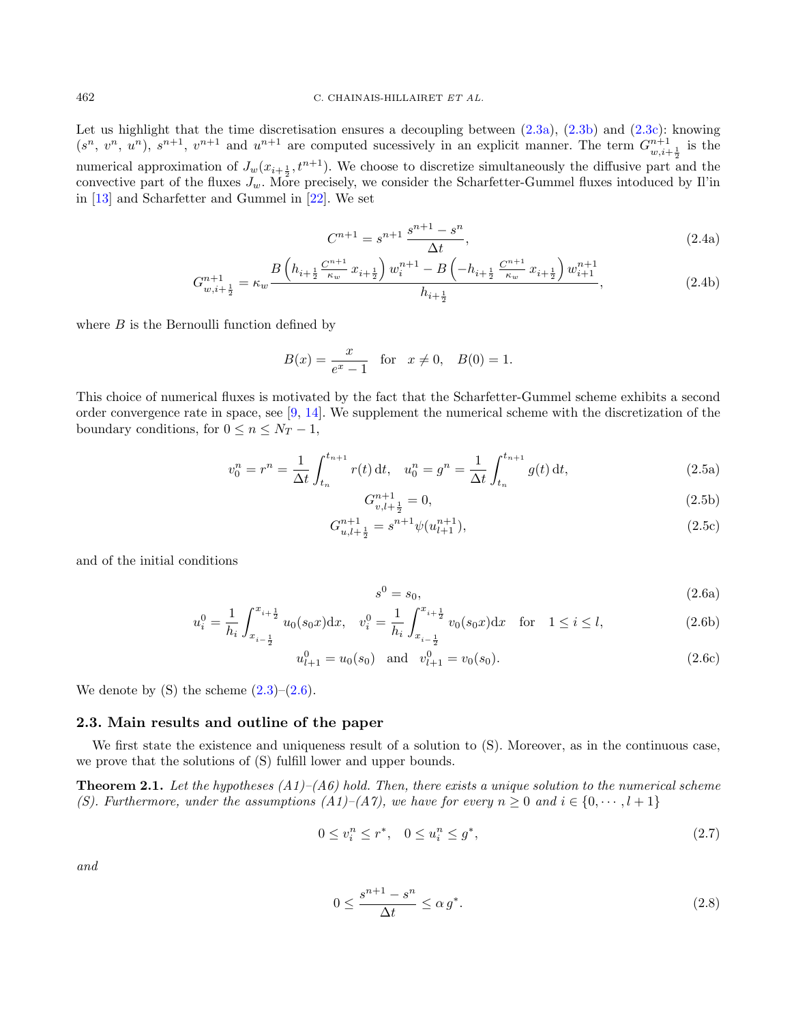Let us highlight that the time discretisation ensures a decoupling between  $(2.3a)$ ,  $(2.3b)$  and  $(2.3c)$ : knowing  $(s^n, v^n, u^n), s^{n+1}, v^{n+1}$  and  $u^{n+1}$  are computed sucessively in an explicit manner. The term  $G_{w,i+\frac{1}{2}}^{n+1}$  is the numerical approximation of  $J_w(x_{i+\frac{1}{2}}, t^{n+1})$ . We choose to discretize simultaneously the diffusive part and the convective part of the fluxes  $J_w$ . More precisely, we consider the Scharfetter-Gummel fluxes intoduced by Il'in in [\[13\]](#page-23-7) and Scharfetter and Gummel in [\[22\]](#page-23-8). We set

$$
C^{n+1} = s^{n+1} \frac{s^{n+1} - s^n}{\Delta t},
$$
\n(2.4a)

$$
G_{w,i+\frac{1}{2}}^{n+1} = \kappa_w \frac{B\left(h_{i+\frac{1}{2}} \frac{C^{n+1}}{\kappa_w} x_{i+\frac{1}{2}}\right) w_i^{n+1} - B\left(-h_{i+\frac{1}{2}} \frac{C^{n+1}}{\kappa_w} x_{i+\frac{1}{2}}\right) w_{i+1}^{n+1}}{h_{i+\frac{1}{2}}},\tag{2.4b}
$$

where  $B$  is the Bernoulli function defined by

$$
B(x) = \frac{x}{e^x - 1}
$$
 for  $x \neq 0$ ,  $B(0) = 1$ .

This choice of numerical fluxes is motivated by the fact that the Scharfetter-Gummel scheme exhibits a second order convergence rate in space, see  $[9, 14]$  $[9, 14]$  $[9, 14]$ . We supplement the numerical scheme with the discretization of the boundary conditions, for  $0 \le n \le N_T - 1$ ,

$$
v_0^n = r^n = \frac{1}{\Delta t} \int_{t_n}^{t_{n+1}} r(t) dt, \quad u_0^n = g^n = \frac{1}{\Delta t} \int_{t_n}^{t_{n+1}} g(t) dt,
$$
\n(2.5a)

<span id="page-5-5"></span><span id="page-5-4"></span>
$$
G_{v,l+\frac{1}{2}}^{n+1} = 0,\t\t(2.5b)
$$

$$
G_{u,l+\frac{1}{2}}^{n+1} = s^{n+1} \psi(u_{l+1}^{n+1}),
$$
\n(2.5c)

and of the initial conditions

<span id="page-5-6"></span>
$$
s^0 = s_0,\tag{2.6a}
$$

<span id="page-5-1"></span>
$$
u_i^0 = \frac{1}{h_i} \int_{x_{i - \frac{1}{2}}}^{x_{i + \frac{1}{2}}} u_0(s_0 x) dx, \quad v_i^0 = \frac{1}{h_i} \int_{x_{i - \frac{1}{2}}}^{x_{i + \frac{1}{2}}} v_0(s_0 x) dx \quad \text{for} \quad 1 \le i \le l,
$$
\n(2.6b)

$$
u_{l+1}^0 = u_0(s_0) \quad \text{and} \quad v_{l+1}^0 = v_0(s_0). \tag{2.6c}
$$

We denote by  $(S)$  the scheme  $(2.3)$ – $(2.6)$ .

### 2.3. Main results and outline of the paper

We first state the existence and uniqueness result of a solution to  $(S)$ . Moreover, as in the continuous case, we prove that the solutions of (S) fulfill lower and upper bounds.

<span id="page-5-0"></span>**Theorem 2.1.** Let the hypotheses  $(A1)$ – $(A6)$  hold. Then, there exists a unique solution to the numerical scheme (S). Furthermore, under the assumptions  $(A1)$ – $(A7)$ , we have for every  $n \geq 0$  and  $i \in \{0, \dots, l+1\}$ 

$$
0 \le v_i^n \le r^*, \quad 0 \le u_i^n \le g^*, \tag{2.7}
$$

and

<span id="page-5-3"></span><span id="page-5-2"></span>
$$
0 \le \frac{s^{n+1} - s^n}{\Delta t} \le \alpha \, g^*.\tag{2.8}
$$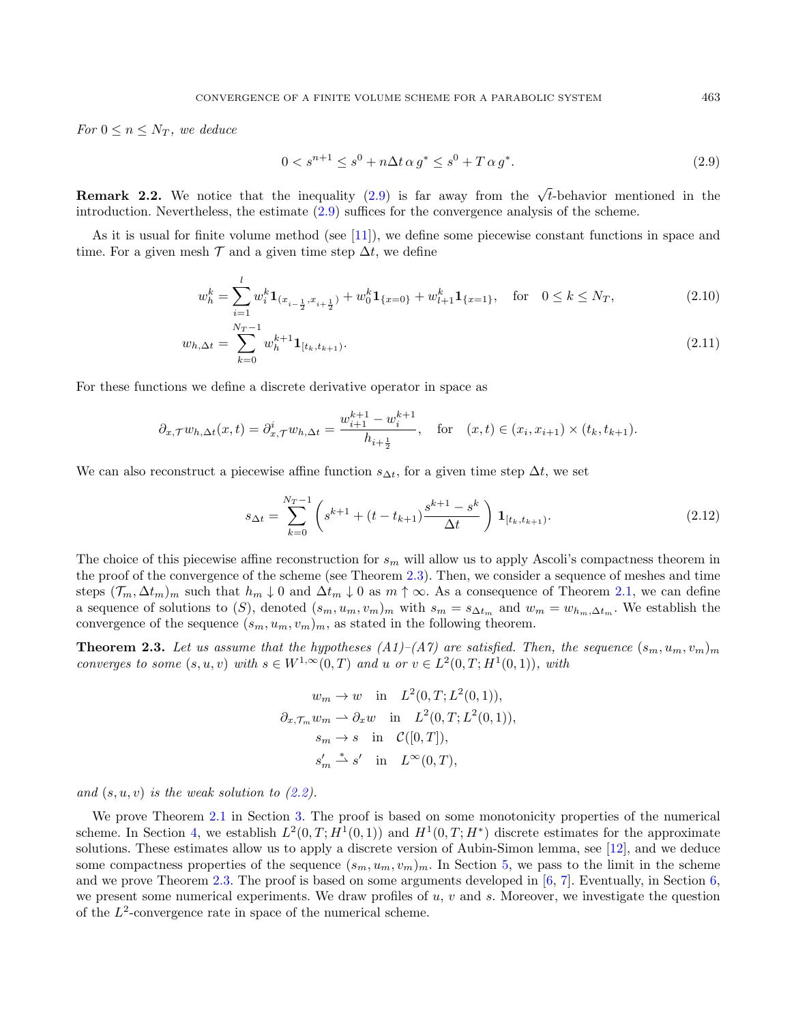For  $0 \leq n \leq N_T$ , we deduce

$$
0 < s^{n+1} \le s^0 + n \Delta t \, \alpha \, g^* \le s^0 + T \, \alpha \, g^* \tag{2.9}
$$

**Remark 2.2.** We notice that the inequality [\(2.9\)](#page-6-1) is far away from the  $\sqrt{t}$ -behavior mentioned in the introduction. Nevertheless, the estimate [\(2.9\)](#page-6-1) suffices for the convergence analysis of the scheme.

As it is usual for finite volume method (see [\[11\]](#page-23-10)), we define some piecewise constant functions in space and time. For a given mesh  $\mathcal T$  and a given time step  $\Delta t$ , we define

$$
w_h^k = \sum_{i=1}^l w_i^k \mathbf{1}_{(x_{i-\frac{1}{2}}, x_{i+\frac{1}{2}})} + w_0^k \mathbf{1}_{\{x=0\}} + w_{l+1}^k \mathbf{1}_{\{x=1\}}, \quad \text{for} \quad 0 \le k \le N_T,
$$
\n(2.10)

$$
w_{h,\Delta t} = \sum_{k=0}^{N_T - 1} w_h^{k+1} \mathbf{1}_{[t_k, t_{k+1})}.
$$
\n(2.11)

For these functions we define a discrete derivative operator in space as

$$
\partial_{x,\mathcal{T}} w_{h,\Delta t}(x,t) = \partial_{x,\mathcal{T}}^i w_{h,\Delta t} = \frac{w_{i+1}^{k+1} - w_i^{k+1}}{h_{i+\frac{1}{2}}}, \quad \text{for} \quad (x,t) \in (x_i, x_{i+1}) \times (t_k, t_{k+1}).
$$

We can also reconstruct a piecewise affine function  $s_{\Delta t}$ , for a given time step  $\Delta t$ , we set

$$
s_{\Delta t} = \sum_{k=0}^{N_T - 1} \left( s^{k+1} + (t - t_{k+1}) \frac{s^{k+1} - s^k}{\Delta t} \right) \mathbf{1}_{[t_k, t_{k+1})}.
$$
 (2.12)

The choice of this piecewise affine reconstruction for  $s_m$  will allow us to apply Ascoli's compactness theorem in the proof of the convergence of the scheme (see Theorem [2.3\)](#page-6-0). Then, we consider a sequence of meshes and time steps  $(\mathcal{T}_m, \Delta t_m)_m$  such that  $h_m \downarrow 0$  and  $\Delta t_m \downarrow 0$  as  $m \uparrow \infty$ . As a consequence of Theorem [2.1,](#page-5-0) we can define a sequence of solutions to  $(S)$ , denoted  $(s_m, u_m, v_m)_m$  with  $s_m = s_{\Delta t_m}$  and  $w_m = w_{h_m, \Delta t_m}$ . We establish the convergence of the sequence  $(s_m, u_m, v_m)_m$ , as stated in the following theorem.

<span id="page-6-0"></span>**Theorem 2.3.** Let us assume that the hypotheses  $(A1)$ – $(A7)$  are satisfied. Then, the sequence  $(s_m, u_m, v_m)_m$ converges to some  $(s, u, v)$  with  $s \in W^{1, \infty}(0, T)$  and u or  $v \in L^2(0, T; H^1(0, 1)),$  with

$$
w_m \to w \quad \text{in} \quad L^2(0, T; L^2(0, 1)),
$$
  
\n
$$
\partial_{x, \mathcal{T}_m} w_m \to \partial_x w \quad \text{in} \quad L^2(0, T; L^2(0, 1)),
$$
  
\n
$$
s_m \to s \quad \text{in} \quad \mathcal{C}([0, T]),
$$
  
\n
$$
s'_m \stackrel{*}{\rightharpoonup} s' \quad \text{in} \quad L^{\infty}(0, T),
$$

and  $(s, u, v)$  is the weak solution to  $(2.2)$ .

We prove Theorem [2.1](#page-5-0) in Section [3.](#page-7-0) The proof is based on some monotonicity properties of the numerical scheme. In Section [4,](#page-9-0) we establish  $L^2(0,T;H^1(0,1))$  and  $H^1(0,T;H^*)$  discrete estimates for the approximate solutions. These estimates allow us to apply a discrete version of Aubin-Simon lemma, see [\[12\]](#page-23-11), and we deduce some compactness properties of the sequence  $(s_m, u_m, v_m)_m$ . In Section [5,](#page-16-0) we pass to the limit in the scheme and we prove Theorem [2.3.](#page-6-0) The proof is based on some arguments developed in  $[6, 7]$  $[6, 7]$  $[6, 7]$ . Eventually, in Section [6,](#page-20-0) we present some numerical experiments. We draw profiles of  $u, v$  and  $s$ . Moreover, we investigate the question of the  $L^2$ -convergence rate in space of the numerical scheme.

<span id="page-6-2"></span><span id="page-6-1"></span>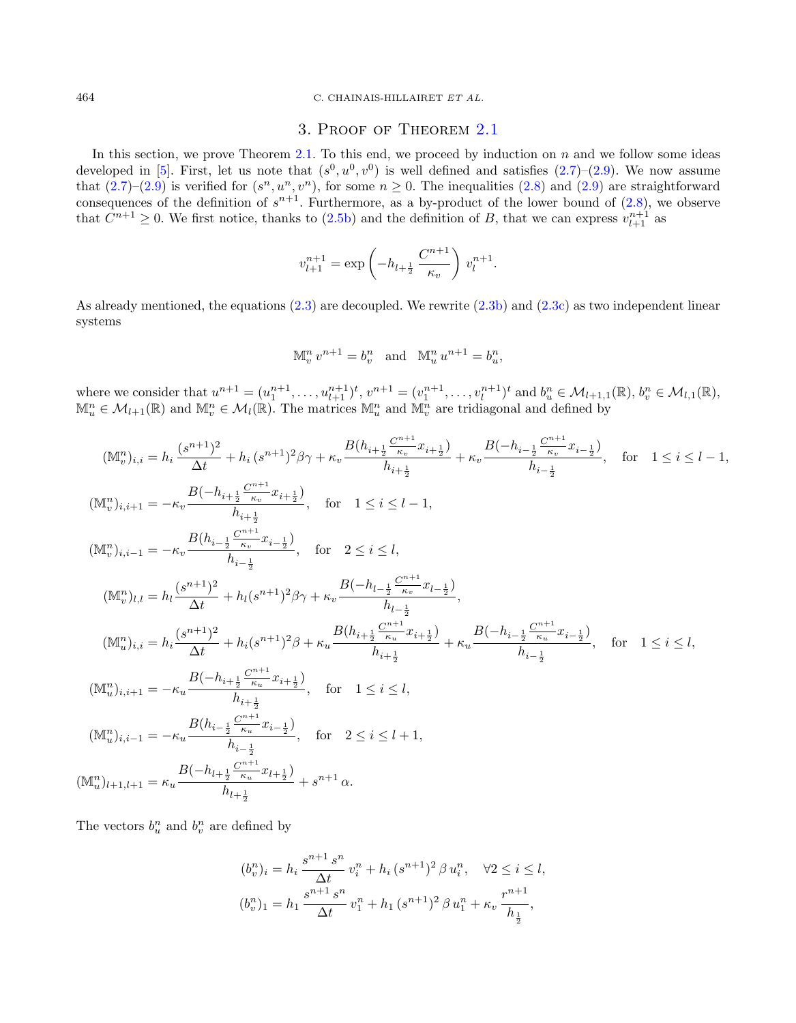#### 464 C. CHAINAIS-HILLAIRET ET AL.

## 3. Proof of Theorem [2.1](#page-5-0)

<span id="page-7-0"></span>In this section, we prove Theorem [2.1.](#page-5-0) To this end, we proceed by induction on  $n$  and we follow some ideas developed in [\[5\]](#page-22-0). First, let us note that  $(s^0, u^0, v^0)$  is well defined and satisfies  $(2.7)-(2.9)$  $(2.7)-(2.9)$  $(2.7)-(2.9)$ . We now assume that  $(2.7)-(2.9)$  $(2.7)-(2.9)$  $(2.7)-(2.9)$  is verified for  $(s^n, u^n, v^n)$ , for some  $n \geq 0$ . The inequalities  $(2.8)$  and  $(2.9)$  are straightforward consequences of the definition of  $s^{n+1}$ . Furthermore, as a by-product of the lower bound of  $(2.8)$ , we observe that  $C^{n+1} \geq 0$ . We first notice, thanks to [\(2.5b\)](#page-5-4) and the definition of B, that we can express  $v_{l+1}^{n+1}$  as

$$
v_{l+1}^{n+1} = \exp\left(-h_{l+\frac{1}{2}} \frac{C^{n+1}}{\kappa_v}\right) v_l^{n+1}.
$$

As already mentioned, the equations [\(2.3\)](#page-4-3) are decoupled. We rewrite [\(2.3b\)](#page-4-1) and [\(2.3c\)](#page-4-2) as two independent linear systems

$$
\mathbb{M}_v^n v^{n+1} = b_v^n \quad \text{and} \quad \mathbb{M}_u^n u^{n+1} = b_u^n,
$$

where we consider that  $u^{n+1} = (u_1^{n+1}, \ldots, u_{l+1}^{n+1})^t, v^{n+1} = (v_1^{n+1}, \ldots, v_l^{n+1})^t$  and  $b_u^n \in \mathcal{M}_{l+1,1}(\mathbb{R}), b_v^n \in \mathcal{M}_{l,1}(\mathbb{R}),$ <br> $\mathbb{M}_u^n \in \mathcal{M}_{l+1}(\mathbb{R})$  and  $\mathbb{M}_v^m \in \mathcal{M}_l(\mathbb{R})$ . The matrices  $\mathbb{M}_$ 

$$
\begin{split} (\mathbb{M}_{v}^{n})_{i,i} &= h_{i} \frac{(s^{n+1})^{2}}{\Delta t} + h_{i} \, (s^{n+1})^{2} \beta \gamma + \kappa_{v} \frac{B(h_{i+\frac{1}{2}} \frac{C^{n+1}}{\kappa_{v}} x_{i+\frac{1}{2}})}{h_{i+\frac{1}{2}}} + \kappa_{v} \frac{B(-h_{i-\frac{1}{2}} \frac{C^{n+1}}{\kappa_{v}} x_{i-\frac{1}{2}})}{h_{i-\frac{1}{2}}}, \quad \text{for} \quad 1 \leq i \leq l-1, \\ (\mathbb{M}_{v}^{n})_{i,i+1} &= -\kappa_{v} \frac{B(h_{i-\frac{1}{2}} \frac{C^{n+1}}{\kappa_{v}} x_{i+\frac{1}{2}})}{h_{i+\frac{1}{2}}}, \quad \text{for} \quad 1 \leq i \leq l-1, \\ (\mathbb{M}_{v}^{n})_{i,i-1} &= -\kappa_{v} \frac{B(h_{i-\frac{1}{2}} \frac{C^{n+1}}{\kappa_{v}} x_{i-\frac{1}{2}})}{h_{i-\frac{1}{2}}}, \quad \text{for} \quad 2 \leq i \leq l, \\ (\mathbb{M}_{v}^{n})_{l,l} &= h_{l} \frac{(s^{n+1})^{2}}{\Delta t} + h_{l} (s^{n+1})^{2} \beta \gamma + \kappa_{v} \frac{B(-h_{l-\frac{1}{2}} \frac{C^{n+1}}{\kappa_{v}} x_{l-\frac{1}{2}})}{h_{l-\frac{1}{2}}}, \\ (\mathbb{M}_{u}^{n})_{i,i} &= h_{i} \frac{(s^{n+1})^{2}}{\Delta t} + h_{i} (s^{n+1})^{2} \beta + \kappa_{u} \frac{B(h_{i+\frac{1}{2}} \frac{C^{n+1}}{\kappa_{u}} x_{i+\frac{1}{2}})}{h_{i+\frac{1}{2}}} + \kappa_{u} \frac{B(-h_{i-\frac{1}{2}} \frac{C^{n+1}}{\kappa_{u}} x_{i-\frac{1}{2}})}{h_{i-\frac{1}{2}}}, \quad \text{for} \quad 1 \leq i \leq l, \\ (\mathbb{M}_{u}^{n})_{i,i+1} &= -\kappa_{u} \frac{B(-h_{
$$

The vectors  $b_u^n$  and  $b_v^n$  are defined by

$$
(b_v^n)_i = h_i \frac{s^{n+1} s^n}{\Delta t} v_i^n + h_i (s^{n+1})^2 \beta u_i^n, \quad \forall 2 \le i \le l,
$$
  

$$
(b_v^n)_1 = h_1 \frac{s^{n+1} s^n}{\Delta t} v_1^n + h_1 (s^{n+1})^2 \beta u_1^n + \kappa_v \frac{r^{n+1}}{h_{\frac{1}{2}}},
$$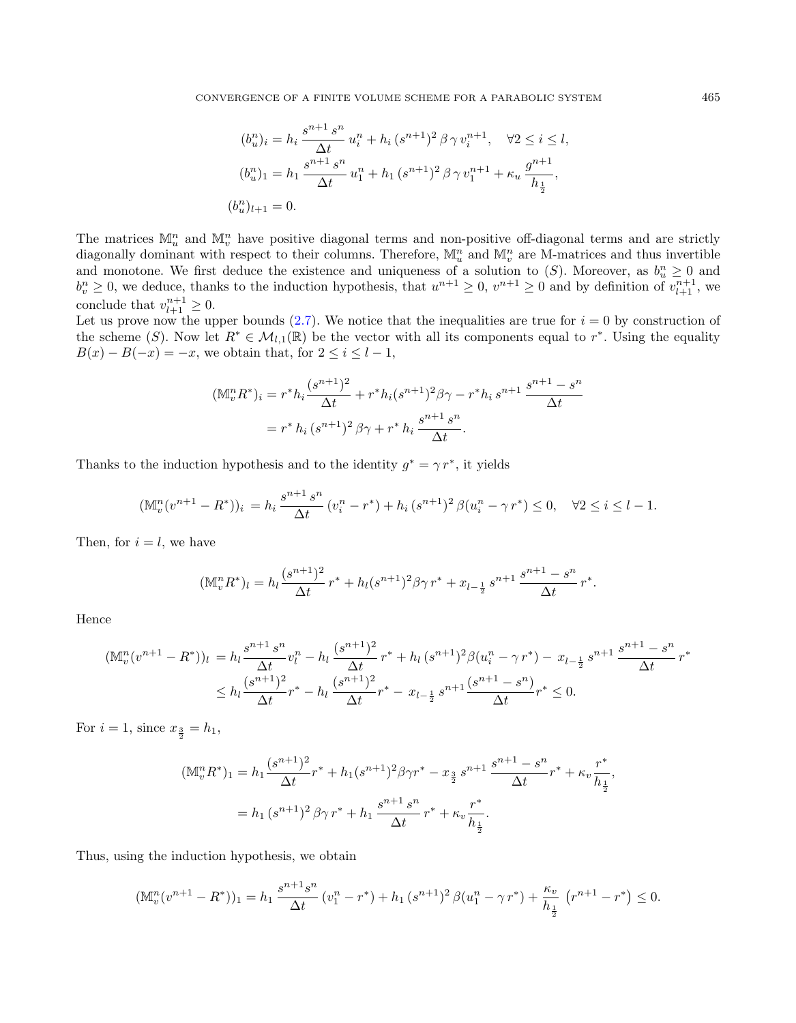$$
(b_u^n)_i = h_i \frac{s^{n+1} s^n}{\Delta t} u_i^n + h_i (s^{n+1})^2 \beta \gamma v_i^{n+1}, \quad \forall 2 \le i \le l,
$$
  

$$
(b_u^n)_1 = h_1 \frac{s^{n+1} s^n}{\Delta t} u_1^n + h_1 (s^{n+1})^2 \beta \gamma v_1^{n+1} + \kappa_u \frac{g^{n+1}}{h_{\frac{1}{2}}},
$$
  

$$
(b_u^n)_{l+1} = 0.
$$

The matrices  $\mathbb{M}_u^n$  and  $\mathbb{M}_v^n$  have positive diagonal terms and non-positive off-diagonal terms and are strictly diagonally dominant with respect to their columns. Therefore,  $\mathbb{M}_u^n$  and  $\mathbb{M}_v^n$  are M-matrices and thus invertible and monotone. We first deduce the existence and uniqueness of a solution to  $(S)$ . Moreover, as  $b_u^n \geq 0$  and  $b_v^n \geq 0$ , we deduce, thanks to the induction hypothesis, that  $u^{n+1} \geq 0$ ,  $v^{n+1} \geq 0$  and by definition of  $v_{l+1}^{n+1}$ , we conclude that  $v_{l+1}^{n+1} \geq 0$ .

Let us prove now the upper bounds  $(2.7)$ . We notice that the inequalities are true for  $i = 0$  by construction of the scheme (S). Now let  $R^* \in \mathcal{M}_{l,1}(\mathbb{R})$  be the vector with all its components equal to  $r^*$ . Using the equality  $B(x) - B(-x) = -x$ , we obtain that, for  $2 \leq i \leq l - 1$ ,

$$
(\mathbb{M}_v^n R^*)_i = r^* h_i \frac{(s^{n+1})^2}{\Delta t} + r^* h_i (s^{n+1})^2 \beta \gamma - r^* h_i s^{n+1} \frac{s^{n+1} - s^n}{\Delta t}
$$
  
=  $r^* h_i (s^{n+1})^2 \beta \gamma + r^* h_i \frac{s^{n+1} s^n}{\Delta t}.$ 

Thanks to the induction hypothesis and to the identity  $g^* = \gamma r^*$ , it yields

$$
(\mathbb{M}_v^n(v^{n+1} - R^*))_i = h_i \frac{s^{n+1} s^n}{\Delta t} (v_i^n - r^*) + h_i (s^{n+1})^2 \beta (u_i^n - \gamma r^*) \le 0, \quad \forall 2 \le i \le l-1.
$$

Then, for  $i = l$ , we have

$$
(\mathbb{M}_v^n R^*)_l = h_l \frac{(s^{n+1})^2}{\Delta t} r^* + h_l (s^{n+1})^2 \beta \gamma r^* + x_{l-\frac{1}{2}} s^{n+1} \frac{s^{n+1} - s^n}{\Delta t} r^*.
$$

Hence

$$
(\mathbb{M}_{v}^{n}(v^{n+1} - R^{*}))_{l} = h_{l} \frac{s^{n+1} s^{n}}{\Delta t} v_{l}^{n} - h_{l} \frac{(s^{n+1})^{2}}{\Delta t} r^{*} + h_{l} (s^{n+1})^{2} \beta (u_{i}^{n} - \gamma r^{*}) - x_{l-\frac{1}{2}} s^{n+1} \frac{s^{n+1} - s^{n}}{\Delta t} r^{*} \leq h_{l} \frac{(s^{n+1})^{2}}{\Delta t} r^{*} - h_{l} \frac{(s^{n+1})^{2}}{\Delta t} r^{*} - x_{l-\frac{1}{2}} s^{n+1} \frac{(s^{n+1} - s^{n})}{\Delta t} r^{*} \leq 0.
$$

For  $i = 1$ , since  $x_{\frac{3}{2}} = h_1$ ,

$$
\begin{aligned} (\mathbb{M}_v^n R^*)_1 &= h_1 \frac{(s^{n+1})^2}{\Delta t} r^* + h_1 (s^{n+1})^2 \beta \gamma r^* - x_{\frac{3}{2}} s^{n+1} \frac{s^{n+1} - s^n}{\Delta t} r^* + \kappa_v \frac{r^*}{h_{\frac{1}{2}}},\\ &= h_1 \left( s^{n+1} \right)^2 \beta \gamma \, r^* + h_1 \frac{s^{n+1} \, s^n}{\Delta t} \, r^* + \kappa_v \frac{r^*}{h_{\frac{1}{2}}} .\end{aligned}
$$

Thus, using the induction hypothesis, we obtain

$$
(\mathbb{M}_v^n(v^{n+1} - R^*))_1 = h_1 \frac{s^{n+1}s^n}{\Delta t} (v_1^n - r^*) + h_1 (s^{n+1})^2 \beta (u_1^n - \gamma r^*) + \frac{\kappa_v}{h_{\frac{1}{2}}} (r^{n+1} - r^*) \le 0.
$$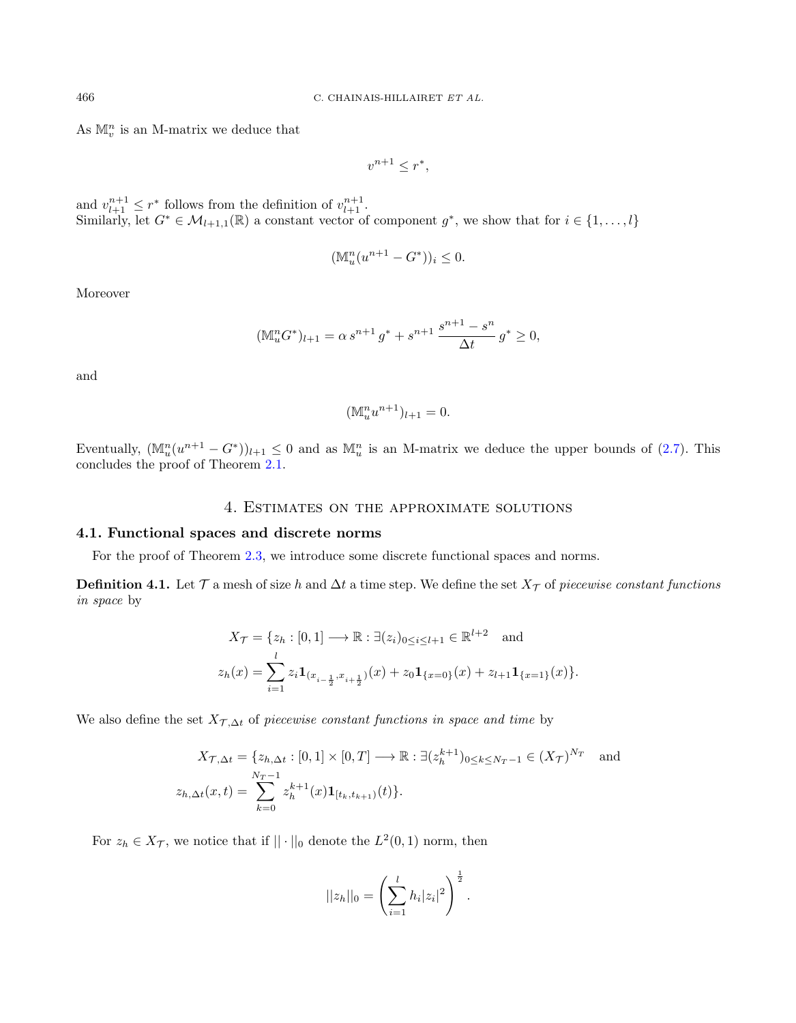As  $\mathbb{M}_v^n$  is an M-matrix we deduce that

$$
v^{n+1} \le r^*,
$$

and  $v_{l+1}^{n+1} \leq r^*$  follows from the definition of  $v_{l+1}^{n+1}$ . Similarly, let  $G^* \in \mathcal{M}_{l+1,1}(\mathbb{R})$  a constant vector of component  $g^*$ , we show that for  $i \in \{1,\ldots,l\}$ 

$$
(\mathbb{M}_u^n(u^{n+1} - G^*))_i \le 0.
$$

Moreover

$$
(\mathbb{M}_u^n G^*)_{l+1} = \alpha s^{n+1} g^* + s^{n+1} \frac{s^{n+1} - s^n}{\Delta t} g^* \ge 0,
$$

and

$$
(\mathbb{M}_u^n u^{n+1})_{l+1} = 0.
$$

Eventually,  $(\mathbb{M}_u^n(u^{n+1}-G^*))_{l+1}\leq 0$  and as  $\mathbb{M}_u^n$  is an M-matrix we deduce the upper bounds of  $(2.7)$ . This concludes the proof of Theorem [2.1.](#page-5-0)

# 4. Estimates on the approximate solutions

## <span id="page-9-0"></span>4.1. Functional spaces and discrete norms

For the proof of Theorem [2.3,](#page-6-0) we introduce some discrete functional spaces and norms.

**Definition 4.1.** Let  $\mathcal T$  a mesh of size h and  $\Delta t$  a time step. We define the set  $X_{\mathcal T}$  of piecewise constant functions in space by

$$
X_{\mathcal{T}} = \{z_h : [0, 1] \longrightarrow \mathbb{R} : \exists (z_i)_{0 \le i \le l+1} \in \mathbb{R}^{l+2} \text{ and}
$$
  

$$
z_h(x) = \sum_{i=1}^l z_i \mathbf{1}_{(x_{i-\frac{1}{2}}, x_{i+\frac{1}{2}})}(x) + z_0 \mathbf{1}_{\{x=0\}}(x) + z_{l+1} \mathbf{1}_{\{x=1\}}(x) \}.
$$

We also define the set  $X_{\mathcal{T}, \Delta t}$  of piecewise constant functions in space and time by

$$
X_{\mathcal{T},\Delta t} = \{z_{h,\Delta t} : [0,1] \times [0,T] \longrightarrow \mathbb{R} : \exists (z_h^{k+1})_{0 \le k \le N_T - 1} \in (X_{\mathcal{T}})^{N_T} \text{ and}
$$
  

$$
z_{h,\Delta t}(x,t) = \sum_{k=0}^{N_T - 1} z_h^{k+1}(x) \mathbf{1}_{[t_k, t_{k+1})}(t) \}.
$$

For  $z_h \in X_{\mathcal{T}}$ , we notice that if  $|| \cdot ||_0$  denote the  $L^2(0,1)$  norm, then

$$
||z_h||_0 = \left(\sum_{i=1}^l h_i |z_i|^2\right)^{\frac{1}{2}}.
$$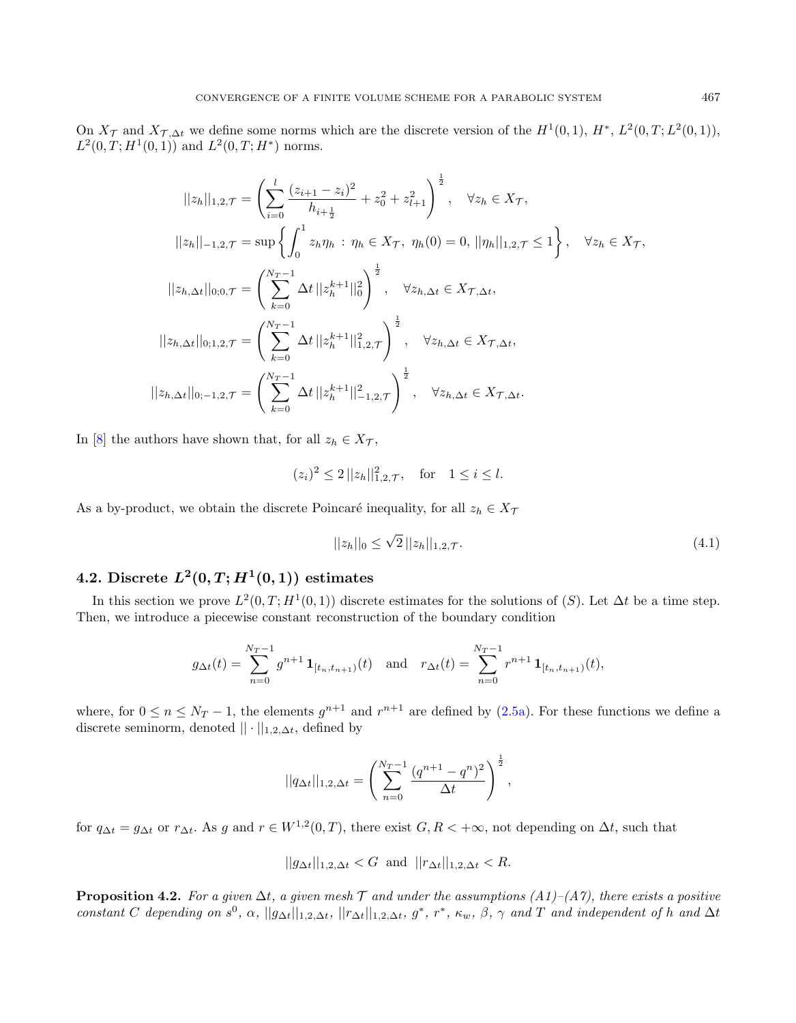On  $X_{\mathcal{T}}$  and  $X_{\mathcal{T},\Delta t}$  we define some norms which are the discrete version of the  $H^1(0,1)$ ,  $H^*$ ,  $L^2(0,T;L^2(0,1))$ ,  $L^2(0,T;H^1(0,1))$  and  $L^2(0,T;H^*)$  norms.

$$
||z_h||_{1,2,\mathcal{T}} = \left(\sum_{i=0}^{l} \frac{(z_{i+1} - z_i)^2}{h_{i+\frac{1}{2}}} + z_0^2 + z_{l+1}^2\right)^{\frac{1}{2}}, \quad \forall z_h \in X_{\mathcal{T}},
$$
  

$$
||z_h||_{-1,2,\mathcal{T}} = \sup\left\{\int_0^1 z_h \eta_h : \eta_h \in X_{\mathcal{T}}, \ \eta_h(0) = 0, \ ||\eta_h||_{1,2,\mathcal{T}} \le 1\right\}, \quad \forall z_h \in X_{\mathcal{T}},
$$
  

$$
||z_{h,\Delta t}||_{0;0,\mathcal{T}} = \left(\sum_{k=0}^{N_T - 1} \Delta t ||z_h^{k+1}||_0^2\right)^{\frac{1}{2}}, \quad \forall z_{h,\Delta t} \in X_{\mathcal{T},\Delta t},
$$
  

$$
||z_{h,\Delta t}||_{0;1,2,\mathcal{T}} = \left(\sum_{k=0}^{N_T - 1} \Delta t ||z_h^{k+1}||_{1,2,\mathcal{T}}^2\right)^{\frac{1}{2}}, \quad \forall z_{h,\Delta t} \in X_{\mathcal{T},\Delta t},
$$
  

$$
||z_{h,\Delta t}||_{0;-1,2,\mathcal{T}} = \left(\sum_{k=0}^{N_T - 1} \Delta t ||z_h^{k+1}||_{-1,2,\mathcal{T}}^2\right)^{\frac{1}{2}}, \quad \forall z_{h,\Delta t} \in X_{\mathcal{T},\Delta t}.
$$

In [\[8\]](#page-22-8) the authors have shown that, for all  $z_h \in X_{\mathcal{T}}$ ,

$$
(z_i)^2 \le 2 ||z_h||_{1,2,\mathcal{T}}^2
$$
, for  $1 \le i \le l$ .

As a by-product, we obtain the discrete Poincaré inequality, for all  $z_h \in X_{\mathcal{T}}$ 

<span id="page-10-1"></span>
$$
||z_h||_0 \le \sqrt{2} ||z_h||_{1,2,\mathcal{T}}.\tag{4.1}
$$

# 4.2. Discrete  $L^2(0,T;H^1(0,1))$  estimates

In this section we prove  $L^2(0,T;H^1(0,1))$  discrete estimates for the solutions of  $(S)$ . Let  $\Delta t$  be a time step. Then, we introduce a piecewise constant reconstruction of the boundary condition

$$
g_{\Delta t}(t) = \sum_{n=0}^{N_T-1} g^{n+1} \mathbf{1}_{[t_n, t_{n+1})}(t) \text{ and } r_{\Delta t}(t) = \sum_{n=0}^{N_T-1} r^{n+1} \mathbf{1}_{[t_n, t_{n+1})}(t),
$$

where, for  $0 \le n \le N_T - 1$ , the elements  $g^{n+1}$  and  $r^{n+1}$  are defined by  $(2.5a)$ . For these functions we define a discrete seminorm, denoted  $|| \cdot ||_{1,2,\Delta t}$ , defined by

$$
||q_{\Delta t}||_{1,2,\Delta t} = \left(\sum_{n=0}^{N_T-1} \frac{(q^{n+1}-q^n)^2}{\Delta t}\right)^{\frac{1}{2}},
$$

for  $q_{\Delta t} = g_{\Delta t}$  or  $r_{\Delta t}$ . As g and  $r \in W^{1,2}(0,T)$ , there exist  $G, R < +\infty$ , not depending on  $\Delta t$ , such that

 $||g_{\Delta t}||_{1,2,\Delta t} < G$  and  $||r_{\Delta t}||_{1,2,\Delta t} < R$ .

<span id="page-10-0"></span>**Proposition 4.2.** For a given  $\Delta t$ , a given mesh T and under the assumptions  $(A1)$ – $(A7)$ , there exists a positive constant C depending on  $s^0$ ,  $\alpha$ ,  $||g_{\Delta t}||_{1,2,\Delta t}$ ,  $||r_{\Delta t}||_{1,2,\Delta t}$ ,  $g^*$ ,  $r^*$ ,  $\kappa_w$ ,  $\beta$ ,  $\gamma$  and T and independent of h and  $\Delta t$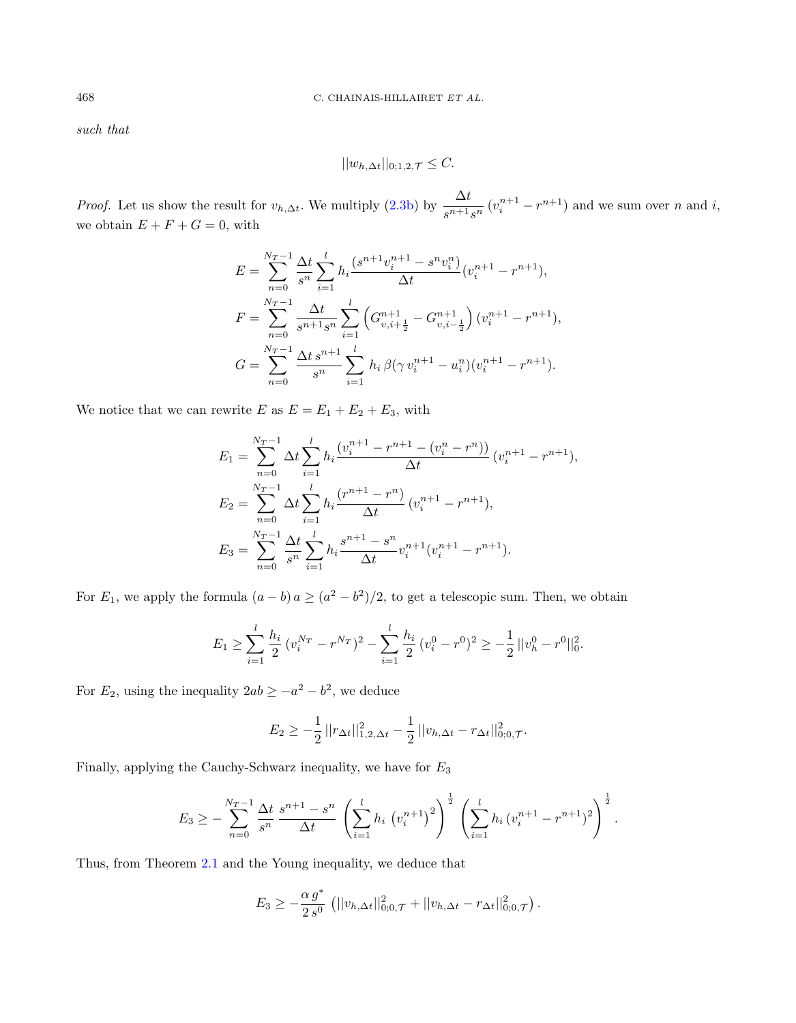such that

$$
||w_{h,\Delta t}||_{0;1,2,\mathcal{T}} \leq C.
$$

*Proof.* Let us show the result for  $v_{h,\Delta t}$ . We multiply [\(2.3b\)](#page-4-1) by  $\frac{\Delta t}{s^{n+1}s^n} (v_i^{n+1} - r^{n+1})$  and we sum over n and i, we obtain  $E + F + G = 0$ , with

$$
E = \sum_{n=0}^{N_T-1} \frac{\Delta t}{s^n} \sum_{i=1}^l h_i \frac{(s^{n+1}v_i^{n+1} - s^n v_i^n)}{\Delta t} (v_i^{n+1} - r^{n+1}),
$$
  
\n
$$
F = \sum_{n=0}^{N_T-1} \frac{\Delta t}{s^{n+1} s^n} \sum_{i=1}^l \left( G_{v,i+\frac{1}{2}}^{n+1} - G_{v,i-\frac{1}{2}}^{n+1} \right) (v_i^{n+1} - r^{n+1}),
$$
  
\n
$$
G = \sum_{n=0}^{N_T-1} \frac{\Delta t}{s^n} \sum_{i=1}^l h_i \beta (\gamma v_i^{n+1} - u_i^n) (v_i^{n+1} - r^{n+1}).
$$

We notice that we can rewrite  $E$  as  $E = E_1 + E_2 + E_3$ , with

$$
E_1 = \sum_{n=0}^{N_T-1} \Delta t \sum_{i=1}^l h_i \frac{(v_i^{n+1} - r^{n+1} - (v_i^n - r^n))}{\Delta t} (v_i^{n+1} - r^{n+1}),
$$
  
\n
$$
E_2 = \sum_{n=0}^{N_T-1} \Delta t \sum_{i=1}^l h_i \frac{(r^{n+1} - r^n)}{\Delta t} (v_i^{n+1} - r^{n+1}),
$$
  
\n
$$
E_3 = \sum_{n=0}^{N_T-1} \frac{\Delta t}{s^n} \sum_{i=1}^l h_i \frac{s^{n+1} - s^n}{\Delta t} v_i^{n+1} (v_i^{n+1} - r^{n+1}).
$$

For  $E_1$ , we apply the formula  $(a - b) a \ge (a^2 - b^2)/2$ , to get a telescopic sum. Then, we obtain

$$
E_1 \geq \sum_{i=1}^l \frac{h_i}{2} (v_i^{N_T} - r^{N_T})^2 - \sum_{i=1}^l \frac{h_i}{2} (v_i^0 - r^0)^2 \geq -\frac{1}{2} ||v_h^0 - r^0||_0^2.
$$

For  $E_2$ , using the inequality  $2ab \ge -a^2 - b^2$ , we deduce

$$
E_2 \geq -\frac{1}{2} ||r_{\Delta t}||_{1,2,\Delta t}^2 - \frac{1}{2} ||v_{h,\Delta t} - r_{\Delta t}||_{0,0,\mathcal{T}}^2.
$$

Finally, applying the Cauchy-Schwarz inequality, we have for  $E_3$ 

$$
E_3 \geq -\sum_{n=0}^{N_T-1} \frac{\Delta t}{s^n} \frac{s^{n+1}-s^n}{\Delta t} \left(\sum_{i=1}^l h_i \left(v_i^{n+1}\right)^2\right)^{\frac{1}{2}} \left(\sum_{i=1}^l h_i \left(v_i^{n+1}-r^{n+1}\right)^2\right)^{\frac{1}{2}}.
$$

Thus, from Theorem [2.1](#page-5-0) and the Young inequality, we deduce that

$$
E_3 \geq -\frac{\alpha g^*}{2s^0} \left( ||v_{h,\Delta t}||_{0;0,\mathcal{T}}^2 + ||v_{h,\Delta t} - r_{\Delta t}||_{0;0,\mathcal{T}}^2 \right).
$$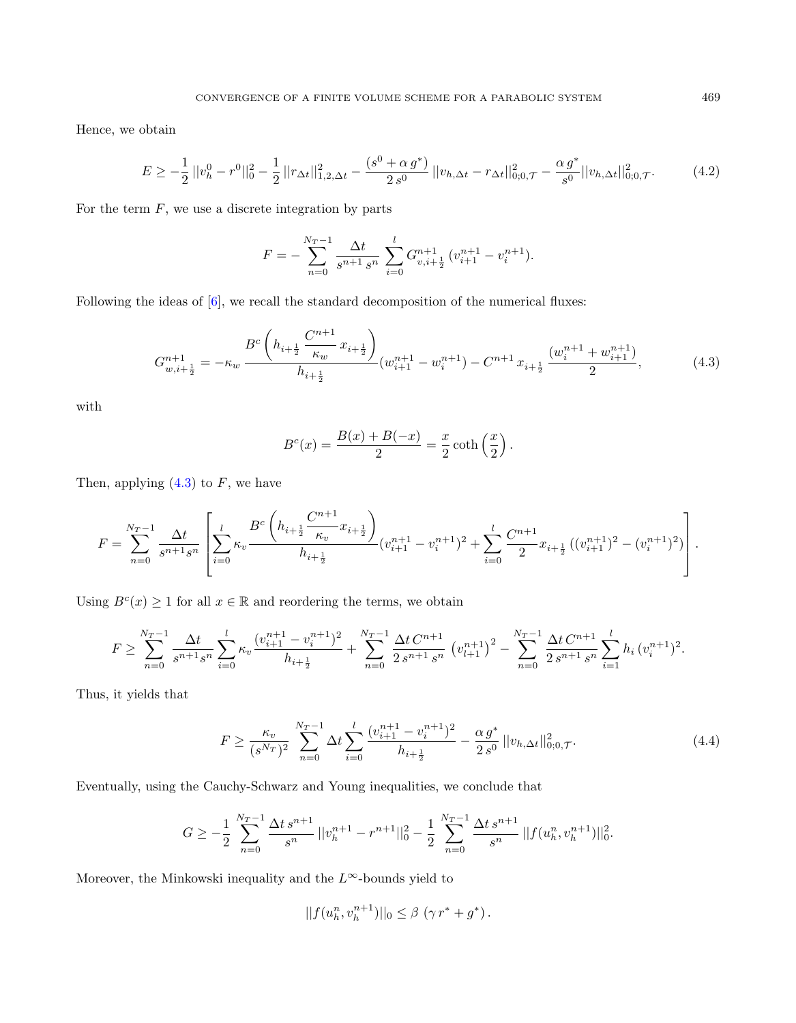Hence, we obtain

$$
E \ge -\frac{1}{2} ||v_h^0 - r^0||_0^2 - \frac{1}{2} ||r_{\Delta t}||_{1,2,\Delta t}^2 - \frac{(s^0 + \alpha g^*)}{2s^0} ||v_{h,\Delta t} - r_{\Delta t}||_{0,0,\mathcal{T}}^2 - \frac{\alpha g^*}{s^0} ||v_{h,\Delta t}||_{0,0,\mathcal{T}}^2. \tag{4.2}
$$

For the term  $F$ , we use a discrete integration by parts

$$
F = -\sum_{n=0}^{N_T-1} \frac{\Delta t}{s^{n+1} s^n} \sum_{i=0}^l G_{v,i+\frac{1}{2}}^{n+1} (v_{i+1}^{n+1} - v_i^{n+1}).
$$

Following the ideas of [\[6\]](#page-22-6), we recall the standard decomposition of the numerical fluxes:

$$
G_{w,i+\frac{1}{2}}^{n+1} = -\kappa_w \frac{B^c \left( h_{i+\frac{1}{2}} \frac{C^{n+1}}{\kappa_w} x_{i+\frac{1}{2}} \right)}{h_{i+\frac{1}{2}}} (w_{i+1}^{n+1} - w_i^{n+1}) - C^{n+1} x_{i+\frac{1}{2}} \frac{(w_i^{n+1} + w_{i+1}^{n+1})}{2}, \tag{4.3}
$$

with

$$
Bc(x) = \frac{B(x) + B(-x)}{2} = \frac{x}{2} \coth\left(\frac{x}{2}\right).
$$

Then, applying  $(4.3)$  to F, we have

$$
F = \sum_{n=0}^{N_T-1} \frac{\Delta t}{s^{n+1}s^n} \left[ \sum_{i=0}^l \kappa_v \frac{B^c \left( h_{i+\frac{1}{2}} \frac{C^{n+1}}{\kappa_v} x_{i+\frac{1}{2}} \right)}{h_{i+\frac{1}{2}}} (v_{i+1}^{n+1} - v_i^{n+1})^2 + \sum_{i=0}^l \frac{C^{n+1}}{2} x_{i+\frac{1}{2}} \left( (v_{i+1}^{n+1})^2 - (v_i^{n+1})^2 \right) \right].
$$

Using  $B<sup>c</sup>(x) \ge 1$  for all  $x \in \mathbb{R}$  and reordering the terms, we obtain

$$
F \geq \sum_{n=0}^{N_T-1} \frac{\Delta t}{s^{n+1} s^n} \sum_{i=0}^l \kappa_v \frac{(v_{i+1}^{n+1} - v_i^{n+1})^2}{h_{i+\frac{1}{2}}} + \sum_{n=0}^{N_T-1} \frac{\Delta t \, C^{n+1}}{2 \, s^{n+1} \, s^n} \left(v_{l+1}^{n+1}\right)^2 - \sum_{n=0}^{N_T-1} \frac{\Delta t \, C^{n+1}}{2 \, s^{n+1} \, s^n} \sum_{i=1}^l h_i \left(v_i^{n+1}\right)^2.
$$

Thus, it yields that

$$
F \ge \frac{\kappa_v}{(s^{N_T})^2} \sum_{n=0}^{N_T-1} \Delta t \sum_{i=0}^l \frac{(v_{i+1}^{n+1} - v_i^{n+1})^2}{h_{i+\frac{1}{2}}} - \frac{\alpha g^*}{2 s^0} ||v_{h,\Delta t}||_{0;0,\mathcal{T}}^2.
$$
 (4.4)

Eventually, using the Cauchy-Schwarz and Young inequalities, we conclude that

$$
G \ge -\frac{1}{2} \sum_{n=0}^{N_T-1} \frac{\Delta t \, s^{n+1}}{s^n} \, ||v_h^{n+1} - r^{n+1}||_0^2 - \frac{1}{2} \sum_{n=0}^{N_T-1} \frac{\Delta t \, s^{n+1}}{s^n} \, ||f(u_h^n, v_h^{n+1})||_0^2.
$$

Moreover, the Minkowski inequality and the  $L^{\infty}$ -bounds yield to

<span id="page-12-2"></span>
$$
||f(u_h^n, v_h^{n+1})||_0 \leq \beta (\gamma r^* + g^*).
$$

<span id="page-12-1"></span><span id="page-12-0"></span>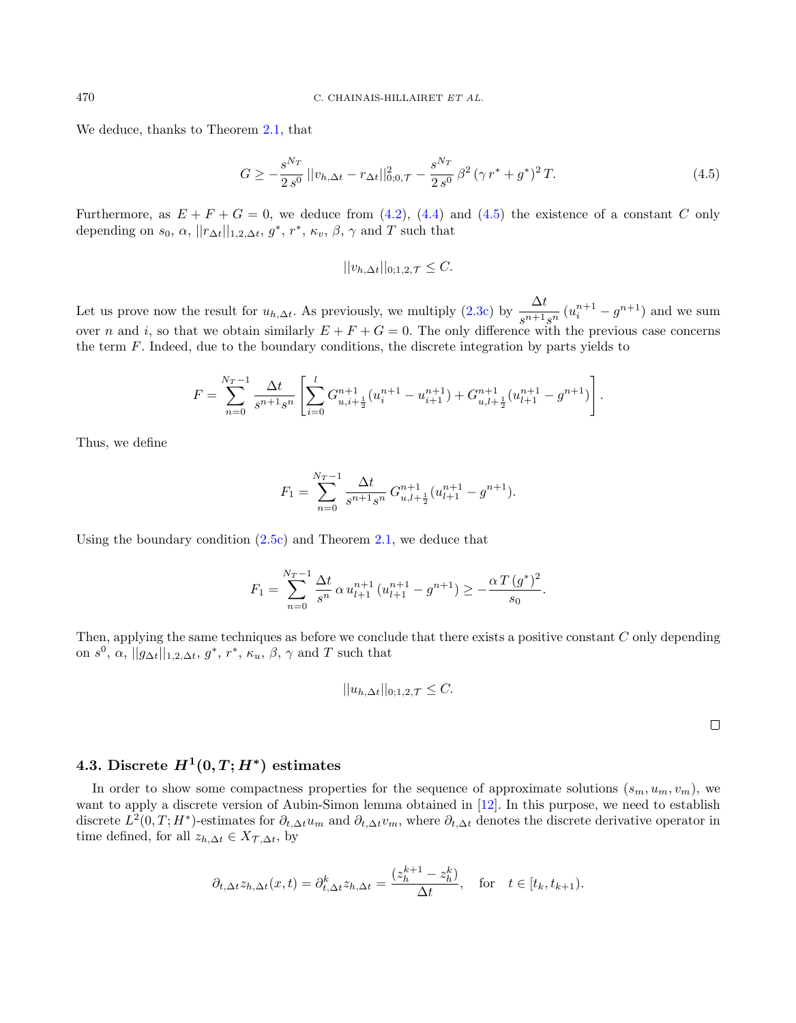We deduce, thanks to Theorem [2.1,](#page-5-0) that

$$
G \ge -\frac{s^{N_T}}{2\,s^0} \, ||v_{h,\Delta t} - r_{\Delta t}||_{0;0,\mathcal{T}}^2 - \frac{s^{N_T}}{2\,s^0} \,\beta^2 \, (\gamma \, r^* + g^*)^2 \, T. \tag{4.5}
$$

Furthermore, as  $E + F + G = 0$ , we deduce from [\(4.2\)](#page-12-1), [\(4.4\)](#page-12-2) and [\(4.5\)](#page-13-0) the existence of a constant C only depending on  $s_0, \alpha, ||r_{\Delta t}||_{1,2,\Delta t}, g^*, r^*, \kappa_v, \beta, \gamma$  and T such that

<span id="page-13-0"></span>
$$
||v_{h,\Delta t}||_{0;1,2,\mathcal{T}} \leq C.
$$

Let us prove now the result for  $u_{h,\Delta t}$ . As previously, we multiply [\(2.3c\)](#page-4-2) by  $\frac{\Delta t}{s^{n+1}s^n}(u_i^{n+1}-g^{n+1})$  and we sum over n and i, so that we obtain similarly  $E + F + G = 0$ . The only difference with the previous case concerns the term  $F$ . Indeed, due to the boundary conditions, the discrete integration by parts yields to

$$
F = \sum_{n=0}^{N_T-1} \frac{\Delta t}{s^{n+1} s^n} \left[ \sum_{i=0}^l G_{u,i+\frac{1}{2}}^{n+1} (u_i^{n+1} - u_{i+1}^{n+1}) + G_{u,l+\frac{1}{2}}^{n+1} (u_{l+1}^{n+1} - g^{n+1}) \right].
$$

Thus, we define

$$
F_1 = \sum_{n=0}^{N_T-1} \frac{\Delta t}{s^{n+1} s^n} G_{u,l+\frac{1}{2}}^{n+1} (u_{l+1}^{n+1} - g^{n+1}).
$$

Using the boundary condition  $(2.5c)$  and Theorem [2.1,](#page-5-0) we deduce that

$$
F_1 = \sum_{n=0}^{N_T-1} \frac{\Delta t}{s^n} \alpha u_{l+1}^{n+1} (u_{l+1}^{n+1} - g^{n+1}) \ge -\frac{\alpha T (g^*)^2}{s_0}.
$$

Then, applying the same techniques as before we conclude that there exists a positive constant C only depending on  $s^0$ ,  $\alpha$ ,  $||g_{\Delta t}||_{1,2,\Delta t}$ ,  $g^*$ ,  $r^*$ ,  $\kappa_u$ ,  $\beta$ ,  $\gamma$  and T such that

$$
||u_{h,\Delta t}||_{0;1,2,\mathcal{T}} \leq C.
$$

 $\Box$ 

# 4.3. Discrete  $H^1(0,T;H^*)$  estimates

In order to show some compactness properties for the sequence of approximate solutions  $(s_m, u_m, v_m)$ , we want to apply a discrete version of Aubin-Simon lemma obtained in [\[12\]](#page-23-11). In this purpose, we need to establish discrete  $L^2(0,T;H^*)$ -estimates for  $\partial_{t,\Delta t}u_m$  and  $\partial_{t,\Delta t}v_m$ , where  $\partial_{t,\Delta t}$  denotes the discrete derivative operator in time defined, for all  $z_{h,\Delta t} \in X_{\mathcal{T},\Delta t}$ , by

$$
\partial_{t,\Delta t} z_{h,\Delta t}(x,t) = \partial_{t,\Delta t}^k z_{h,\Delta t} = \frac{(z_h^{k+1} - z_h^k)}{\Delta t}, \quad \text{for} \quad t \in [t_k, t_{k+1}).
$$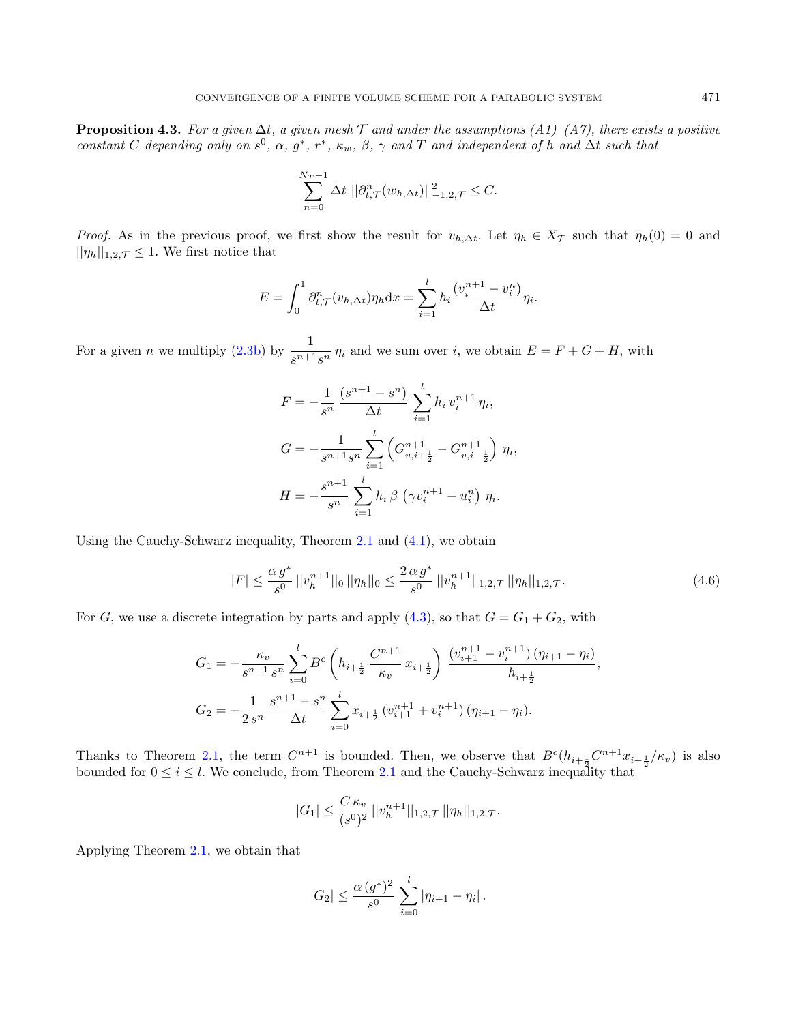<span id="page-14-0"></span>**Proposition 4.3.** For a given  $\Delta t$ , a given mesh T and under the assumptions  $(A1)$ – $(A7)$ , there exists a positive constant C depending only on  $s^0$ ,  $\alpha$ ,  $g^*$ ,  $r^*$ ,  $\kappa_w$ ,  $\beta$ ,  $\gamma$  and T and independent of h and  $\Delta t$  such that

$$
\sum_{n=0}^{N_T-1} \Delta t \, ||\partial_{t,\mathcal{T}}^n(w_{h,\Delta t})||^2_{-1,2,\mathcal{T}} \leq C.
$$

*Proof.* As in the previous proof, we first show the result for  $v_{h,\Delta t}$ . Let  $\eta_h \in X_{\mathcal{T}}$  such that  $\eta_h(0) = 0$  and  $||\eta_h||_{1,2,\mathcal{T}} \leq 1$ . We first notice that

$$
E = \int_0^1 \partial_{t,\mathcal{T}}^n (v_{h,\Delta t}) \eta_h \mathrm{d}x = \sum_{i=1}^l h_i \frac{(v_i^{n+1} - v_i^n)}{\Delta t} \eta_i.
$$

For a given *n* we multiply [\(2.3b\)](#page-4-1) by  $\frac{1}{s^{n+1}s^n}$   $\eta_i$  and we sum over *i*, we obtain  $E = F + G + H$ , with

$$
F = -\frac{1}{s^n} \frac{(s^{n+1} - s^n)}{\Delta t} \sum_{i=1}^l h_i v_i^{n+1} \eta_i,
$$
  
\n
$$
G = -\frac{1}{s^{n+1} s^n} \sum_{i=1}^l \left( G_{v,i+\frac{1}{2}}^{n+1} - G_{v,i-\frac{1}{2}}^{n+1} \right) \eta_i,
$$
  
\n
$$
H = -\frac{s^{n+1}}{s^n} \sum_{i=1}^l h_i \beta \left( \gamma v_i^{n+1} - u_i^n \right) \eta_i.
$$

Using the Cauchy-Schwarz inequality, Theorem  $2.1$  and  $(4.1)$ , we obtain

<span id="page-14-1"></span>
$$
|F| \le \frac{\alpha g^*}{s^0} \, ||v_h^{n+1}||_0 \, ||\eta_h||_0 \le \frac{2 \, \alpha g^*}{s^0} \, ||v_h^{n+1}||_{1,2,\mathcal{T}} \, ||\eta_h||_{1,2,\mathcal{T}}.\tag{4.6}
$$

For G, we use a discrete integration by parts and apply  $(4.3)$ , so that  $G = G_1 + G_2$ , with

$$
G_1 = -\frac{\kappa_v}{s^{n+1} s^n} \sum_{i=0}^l B^c \left( h_{i+\frac{1}{2}} \frac{C^{n+1}}{\kappa_v} x_{i+\frac{1}{2}} \right) \frac{\left( v_{i+1}^{n+1} - v_i^{n+1} \right) \left( \eta_{i+1} - \eta_i \right)}{h_{i+\frac{1}{2}}},
$$
  

$$
G_2 = -\frac{1}{2 s^n} \frac{s^{n+1} - s^n}{\Delta t} \sum_{i=0}^l x_{i+\frac{1}{2}} \left( v_{i+1}^{n+1} + v_i^{n+1} \right) \left( \eta_{i+1} - \eta_i \right).
$$

Thanks to Theorem [2.1,](#page-5-0) the term  $C^{n+1}$  is bounded. Then, we observe that  $B^c(h_{i+\frac{1}{2}}C^{n+1}x_{i+\frac{1}{2}}/\kappa_v)$  is also bounded for  $0 \leq i \leq l$ . We conclude, from Theorem [2.1](#page-5-0) and the Cauchy-Schwarz inequality that

$$
|G_1| \leq \frac{C \kappa_v}{(s^0)^2} ||v_h^{n+1}||_{1,2,\mathcal{T}} ||\eta_h||_{1,2,\mathcal{T}}.
$$

Applying Theorem [2.1,](#page-5-0) we obtain that

$$
|G_2| \leq \frac{\alpha (g^*)^2}{s^0} \sum_{i=0}^l |\eta_{i+1} - \eta_i|.
$$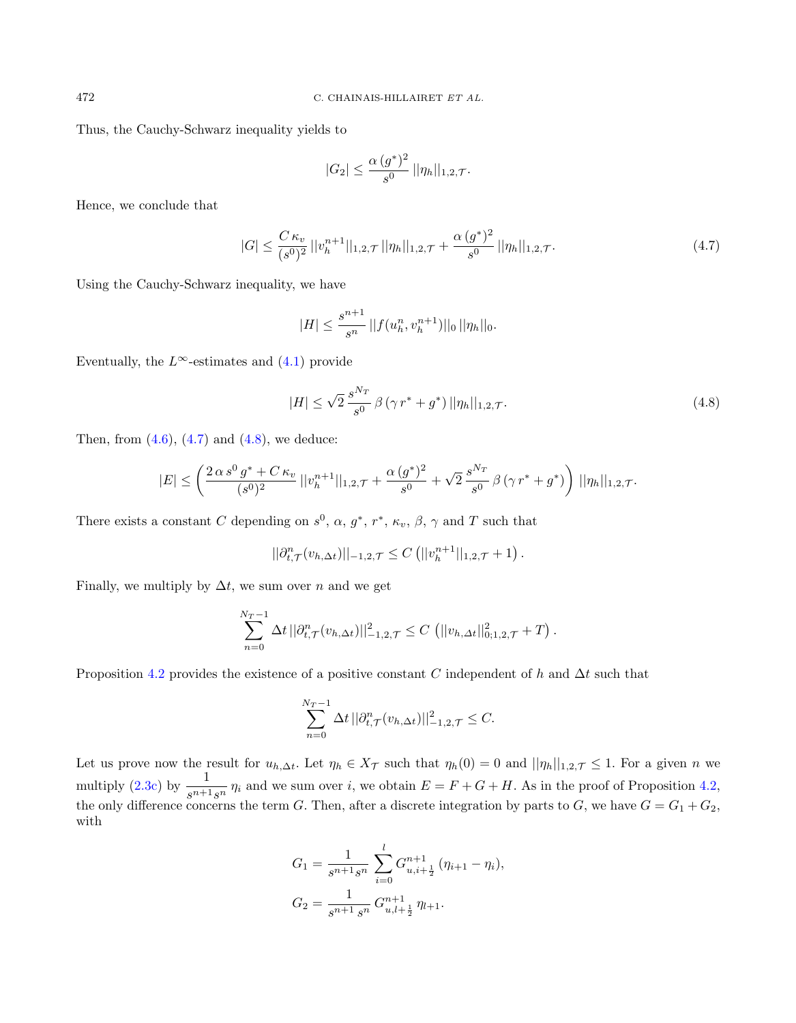Thus, the Cauchy-Schwarz inequality yields to

<span id="page-15-0"></span>
$$
|G_2| \leq \frac{\alpha (g^*)^2}{s^0} \, ||\eta_h||_{1,2,\mathcal{T}}.
$$

Hence, we conclude that

$$
|G| \leq \frac{C \kappa_v}{(s^0)^2} ||v_h^{n+1}||_{1,2,\mathcal{T}} ||\eta_h||_{1,2,\mathcal{T}} + \frac{\alpha (g^*)^2}{s^0} ||\eta_h||_{1,2,\mathcal{T}}.
$$
 (4.7)

Using the Cauchy-Schwarz inequality, we have

<span id="page-15-1"></span>
$$
|H| \le \frac{s^{n+1}}{s^n} \, ||f(u_h^n, v_h^{n+1})||_0 \, ||\eta_h||_0.
$$

Eventually, the  $L^{\infty}$ -estimates and [\(4.1\)](#page-10-1) provide

$$
|H| \le \sqrt{2} \frac{s^{N_T}}{s^0} \beta (\gamma r^* + g^*) ||\eta_h||_{1,2,\mathcal{T}}.
$$
\n(4.8)

Then, from  $(4.6)$ ,  $(4.7)$  and  $(4.8)$ , we deduce:

$$
|E| \leq \left(\frac{2\alpha s^0 g^* + C\kappa_v}{(s^0)^2} ||v_h^{n+1}||_{1,2,\mathcal{T}} + \frac{\alpha (g^*)^2}{s^0} + \sqrt{2} \frac{s^{N_T}}{s^0} \beta (\gamma r^* + g^*)\right) ||\eta_h||_{1,2,\mathcal{T}}.
$$

There exists a constant C depending on  $s^0$ ,  $\alpha$ ,  $g^*$ ,  $r^*$ ,  $\kappa_v$ ,  $\beta$ ,  $\gamma$  and T such that

$$
||\partial_{t,\mathcal{T}}^n(v_{h,\Delta t})||_{-1,2,\mathcal{T}} \leq C (||v_h^{n+1}||_{1,2,\mathcal{T}} + 1).
$$

Finally, we multiply by  $\Delta t$ , we sum over n and we get

$$
\sum_{n=0}^{N_T-1} \Delta t ||\partial_{t,\mathcal{T}}^n(v_{h,\Delta t})||^2_{-1,2,\mathcal{T}} \leq C \left( ||v_{h,\Delta t}||^2_{0,1,2,\mathcal{T}} + T \right).
$$

Proposition [4.2](#page-10-0) provides the existence of a positive constant C independent of h and  $\Delta t$  such that

$$
\sum_{n=0}^{N_T-1} \Delta t ||\partial_{t,\mathcal{T}}^n(v_{h,\Delta t})||^2_{-1,2,\mathcal{T}} \leq C.
$$

Let us prove now the result for  $u_{h,\Delta t}$ . Let  $\eta_h \in X_{\mathcal{T}}$  such that  $\eta_h(0) = 0$  and  $||\eta_h||_{1,2,\mathcal{T}} \leq 1$ . For a given n we multiply [\(2.3c\)](#page-4-2) by  $\frac{1}{s^{n+1}s^n}$   $\eta_i$  and we sum over i, we obtain  $E = F + G + H$ . As in the proof of Proposition [4.2,](#page-10-0) the only difference concerns the term G. Then, after a discrete integration by parts to G, we have  $G = G_1 + G_2$ , with

$$
G_1 = \frac{1}{s^{n+1}s^n} \sum_{i=0}^{l} G_{u,i+\frac{1}{2}}^{n+1} (\eta_{i+1} - \eta_i),
$$
  
\n
$$
G_2 = \frac{1}{s^{n+1} s^n} G_{u,l+\frac{1}{2}}^{n+1} \eta_{l+1}.
$$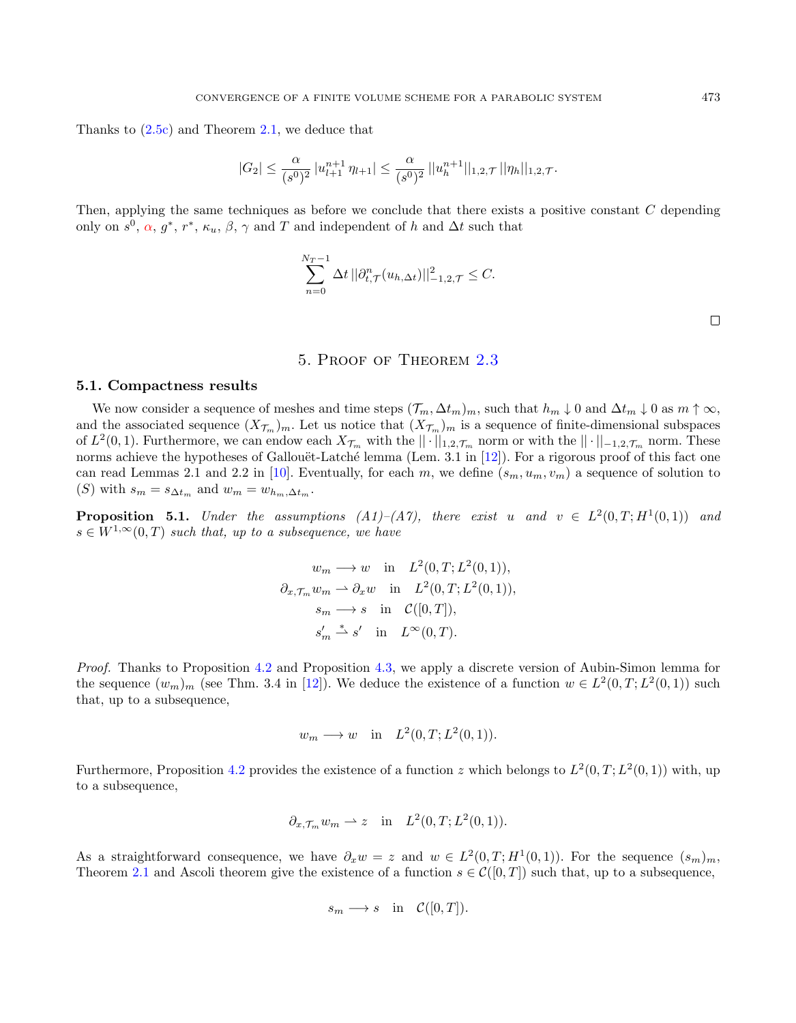Thanks to  $(2.5c)$  and Theorem [2.1,](#page-5-0) we deduce that

$$
|G_2| \le \frac{\alpha}{(s^0)^2} |u_{l+1}^{n+1} \eta_{l+1}| \le \frac{\alpha}{(s^0)^2} ||u_h^{n+1}||_{1,2,\mathcal{T}} ||\eta_h||_{1,2,\mathcal{T}}.
$$

Then, applying the same techniques as before we conclude that there exists a positive constant C depending only on  $s^0$ ,  $\alpha$ ,  $g^*$ ,  $r^*$ ,  $\kappa_u$ ,  $\beta$ ,  $\gamma$  and  $T$  and independent of h and  $\Delta t$  such that

$$
\sum_{n=0}^{N_T-1} \Delta t ||\partial_{t,\mathcal{T}}^n (u_{h,\Delta t})||^2_{-1,2,\mathcal{T}} \leq C.
$$

# 5. Proof of Theorem [2.3](#page-6-0)

### <span id="page-16-0"></span>5.1. Compactness results

We now consider a sequence of meshes and time steps  $(\mathcal{T}_m, \Delta t_m)_m$ , such that  $h_m \downarrow 0$  and  $\Delta t_m \downarrow 0$  as  $m \uparrow \infty$ , and the associated sequence  $(X_{\mathcal{T}_m})_m$ . Let us notice that  $(X_{\mathcal{T}_m})_m$  is a sequence of finite-dimensional subspaces of  $L^2(0,1)$ . Furthermore, we can endow each  $X_{\mathcal{T}_m}$  with the  $||\cdot||_{1,2,\mathcal{T}_m}$  norm or with the  $||\cdot||_{-1,2,\mathcal{T}_m}$  norm. These norms achieve the hypotheses of Gallouët-Latché lemma (Lem. 3.1 in [\[12\]](#page-23-11)). For a rigorous proof of this fact one can read Lemmas 2.1 and 2.2 in [\[10\]](#page-23-12). Eventually, for each m, we define  $(s_m, u_m, v_m)$  a sequence of solution to (S) with  $s_m = s_{\Delta t_m}$  and  $w_m = w_{h_m,\Delta t_m}$ .

<span id="page-16-1"></span>**Proposition 5.1.** Under the assumptions  $(A1)$ – $(A7)$ , there exist u and  $v \in L^2(0,T;H^1(0,1))$  and  $s \in W^{1,\infty}(0,T)$  such that, up to a subsequence, we have

$$
w_m \longrightarrow w \quad \text{in} \quad L^2(0, T; L^2(0, 1)),
$$
  
\n
$$
\partial_{x, \mathcal{T}_m} w_m \longrightarrow \partial_x w \quad \text{in} \quad L^2(0, T; L^2(0, 1)),
$$
  
\n
$$
s_m \longrightarrow s \quad \text{in} \quad \mathcal{C}([0, T]),
$$
  
\n
$$
s'_m \stackrel{*}{\rightharpoonup} s' \quad \text{in} \quad L^{\infty}(0, T).
$$

Proof. Thanks to Proposition [4.2](#page-10-0) and Proposition [4.3,](#page-14-0) we apply a discrete version of Aubin-Simon lemma for the sequence  $(w_m)_m$  (see Thm. 3.4 in [\[12\]](#page-23-11)). We deduce the existence of a function  $w \in L^2(0,T;L^2(0,1))$  such that, up to a subsequence,

$$
w_m \longrightarrow w
$$
 in  $L^2(0,T;L^2(0,1)).$ 

Furthermore, Proposition [4.2](#page-10-0) provides the existence of a function z which belongs to  $L^2(0,T;L^2(0,1))$  with, up to a subsequence,

$$
\partial_{x,\mathcal{T}_m} w_m \rightharpoonup z
$$
 in  $L^2(0,T;L^2(0,1)).$ 

As a straightforward consequence, we have  $\partial_x w = z$  and  $w \in L^2(0,T;H^1(0,1))$ . For the sequence  $(s_m)_m$ , Theorem [2.1](#page-5-0) and Ascoli theorem give the existence of a function  $s \in \mathcal{C}([0,T])$  such that, up to a subsequence,

$$
s_m \longrightarrow s
$$
 in  $\mathcal{C}([0,T]).$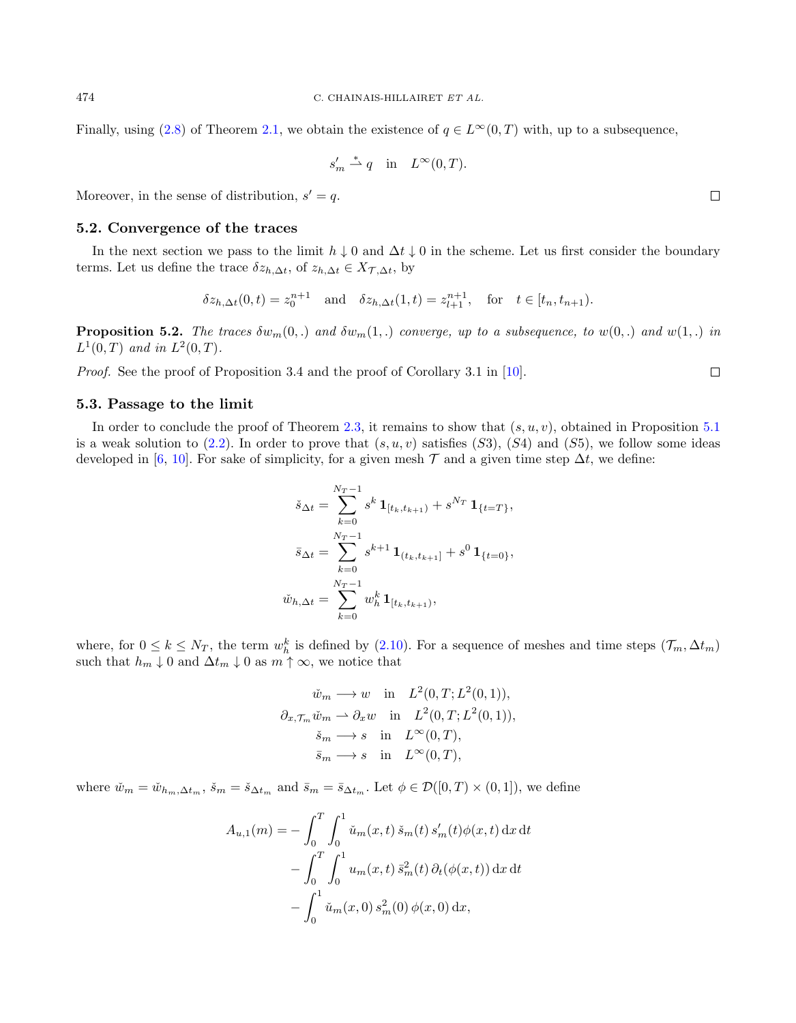Finally, using [\(2.8\)](#page-5-3) of Theorem [2.1,](#page-5-0) we obtain the existence of  $q \in L^{\infty}(0,T)$  with, up to a subsequence,

$$
s'_m \stackrel{*}{\rightharpoonup} q \quad \text{in} \quad L^{\infty}(0,T).
$$

Moreover, in the sense of distribution,  $s' = q$ .

### 5.2. Convergence of the traces

In the next section we pass to the limit  $h \downarrow 0$  and  $\Delta t \downarrow 0$  in the scheme. Let us first consider the boundary terms. Let us define the trace  $\delta z_{h,\Delta t}$ , of  $z_{h,\Delta t} \in X_{\mathcal{T},\Delta t}$ , by

$$
\delta z_{h,\Delta t}(0,t) = z_0^{n+1}
$$
 and  $\delta z_{h,\Delta t}(1,t) = z_{l+1}^{n+1}$ , for  $t \in [t_n, t_{n+1})$ .

<span id="page-17-0"></span>**Proposition 5.2.** The traces  $\delta w_m(0,.)$  and  $\delta w_m(1,.)$  converge, up to a subsequence, to  $w(0,.)$  and  $w(1,.)$  in  $L^1(0,T)$  and in  $L^2(0,T)$ .

Proof. See the proof of Proposition 3.4 and the proof of Corollary 3.1 in [\[10\]](#page-23-12).

### 5.3. Passage to the limit

In order to conclude the proof of Theorem [2.3,](#page-6-0) it remains to show that  $(s, u, v)$ , obtained in Proposition [5.1](#page-16-1) is a weak solution to  $(2.2)$ . In order to prove that  $(s, u, v)$  satisfies  $(S3)$ ,  $(S4)$  and  $(S5)$ , we follow some ideas developed in [\[6,](#page-22-6) [10\]](#page-23-12). For sake of simplicity, for a given mesh  $\mathcal T$  and a given time step  $\Delta t$ , we define:

$$
\check{s}_{\Delta t} = \sum_{k=0}^{N_T - 1} s^k \mathbf{1}_{[t_k, t_{k+1})} + s^{N_T} \mathbf{1}_{\{t = T\}},
$$

$$
\bar{s}_{\Delta t} = \sum_{k=0}^{N_T - 1} s^{k+1} \mathbf{1}_{(t_k, t_{k+1})} + s^0 \mathbf{1}_{\{t = 0\}},
$$

$$
\check{w}_{h, \Delta t} = \sum_{k=0}^{N_T - 1} w_h^k \mathbf{1}_{[t_k, t_{k+1})},
$$

where, for  $0 \le k \le N_T$ , the term  $w_h^k$  is defined by [\(2.10\)](#page-6-2). For a sequence of meshes and time steps  $(\mathcal{T}_m, \Delta t_m)$ such that  $h_m \downarrow 0$  and  $\Delta t_m \downarrow 0$  as  $m \uparrow \infty$ , we notice that

$$
\tilde{w}_m \longrightarrow w \quad \text{in} \quad L^2(0, T; L^2(0, 1)),
$$

$$
\partial_{x, \mathcal{T}_m} \tilde{w}_m \longrightarrow \partial_x w \quad \text{in} \quad L^2(0, T; L^2(0, 1)),
$$

$$
\tilde{s}_m \longrightarrow s \quad \text{in} \quad L^{\infty}(0, T),
$$

$$
\bar{s}_m \longrightarrow s \quad \text{in} \quad L^{\infty}(0, T),
$$

where  $\check{w}_m = \check{w}_{h_m,\Delta t_m}$ ,  $\check{s}_m = \check{s}_{\Delta t_m}$  and  $\bar{s}_m = \bar{s}_{\Delta t_m}$ . Let  $\phi \in \mathcal{D}([0,T) \times (0,1])$ , we define

$$
A_{u,1}(m) = -\int_0^T \int_0^1 \check{u}_m(x,t) \, \check{s}_m(t) \, s'_m(t) \phi(x,t) \, dx \, dt
$$

$$
-\int_0^T \int_0^1 u_m(x,t) \, \bar{s}_m^2(t) \, \partial_t(\phi(x,t)) \, dx \, dt
$$

$$
-\int_0^1 \check{u}_m(x,0) \, s_m^2(0) \, \phi(x,0) \, dx,
$$

 $\Box$ 

 $\Box$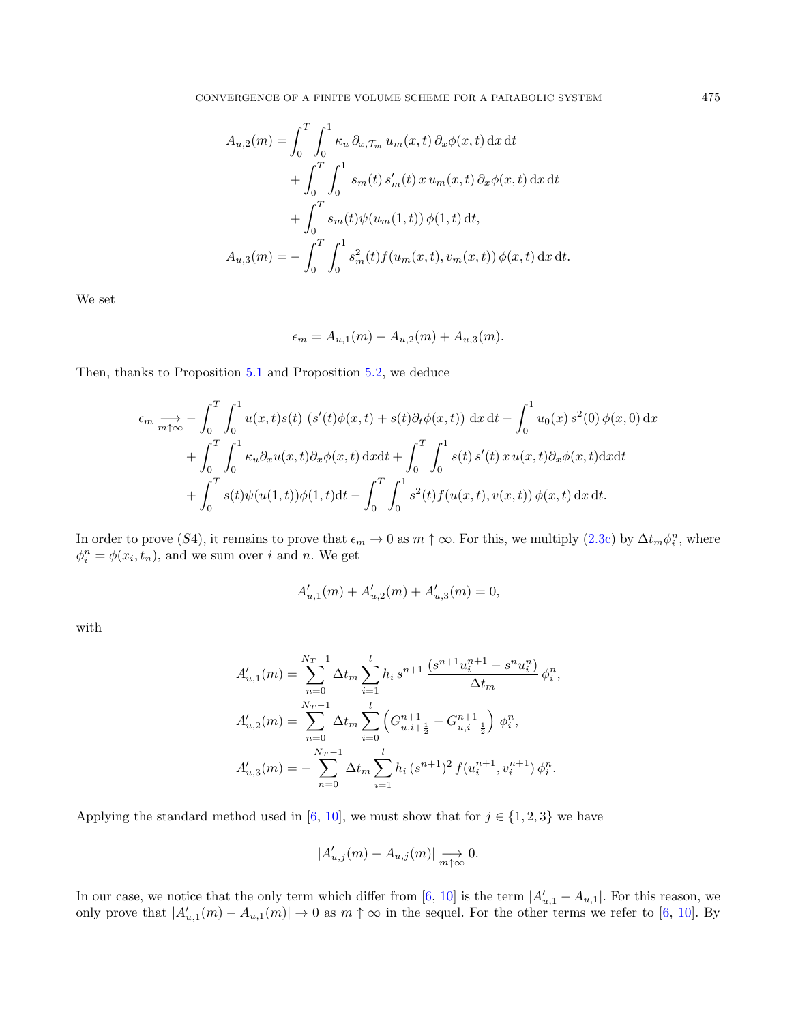$$
A_{u,2}(m) = \int_0^T \int_0^1 \kappa_u \, \partial_{x,\mathcal{T}_m} u_m(x,t) \, \partial_x \phi(x,t) \, dx \, dt + \int_0^T \int_0^1 s_m(t) \, s'_m(t) \, x \, u_m(x,t) \, \partial_x \phi(x,t) \, dx \, dt + \int_0^T s_m(t) \psi(u_m(1,t)) \, \phi(1,t) \, dt, A_{u,3}(m) = - \int_0^T \int_0^1 s_m^2(t) f(u_m(x,t), v_m(x,t)) \, \phi(x,t) \, dx \, dt.
$$

We set

$$
\epsilon_m = A_{u,1}(m) + A_{u,2}(m) + A_{u,3}(m).
$$

Then, thanks to Proposition [5.1](#page-16-1) and Proposition [5.2,](#page-17-0) we deduce

$$
\epsilon_m \xrightarrow[m+ \infty]{} - \int_0^T \int_0^1 u(x, t) s(t) \left( s'(t) \phi(x, t) + s(t) \partial_t \phi(x, t) \right) dx dt - \int_0^1 u_0(x) s^2(0) \phi(x, 0) dx + \int_0^T \int_0^1 \kappa_u \partial_x u(x, t) \partial_x \phi(x, t) dx dt + \int_0^T \int_0^1 s(t) s'(t) x u(x, t) \partial_x \phi(x, t) dx dt + \int_0^T s(t) \psi(u(1, t)) \phi(1, t) dt - \int_0^T \int_0^1 s^2(t) f(u(x, t), v(x, t)) \phi(x, t) dx dt.
$$

In order to prove (S4), it remains to prove that  $\epsilon_m \to 0$  as  $m \uparrow \infty$ . For this, we multiply [\(2.3c\)](#page-4-2) by  $\Delta t_m \phi_i^n$ , where  $\phi_i^n = \phi(x_i, t_n)$ , and we sum over *i* and *n*. We get

$$
A_{u,1}'(m) + A_{u,2}'(m) + A_{u,3}'(m) = 0,
$$

with

$$
A'_{u,1}(m) = \sum_{n=0}^{N_T-1} \Delta t_m \sum_{i=1}^{l} h_i s^{n+1} \frac{(s^{n+1} u_i^{n+1} - s^n u_i^n)}{\Delta t_m} \phi_i^n,
$$
  

$$
A'_{u,2}(m) = \sum_{n=0}^{N_T-1} \Delta t_m \sum_{i=0}^{l} \left( G_{u,i+\frac{1}{2}}^{n+1} - G_{u,i-\frac{1}{2}}^{n+1} \right) \phi_i^n,
$$
  

$$
A'_{u,3}(m) = - \sum_{n=0}^{N_T-1} \Delta t_m \sum_{i=1}^{l} h_i (s^{n+1})^2 f(u_i^{n+1}, v_i^{n+1}) \phi_i^n.
$$

Applying the standard method used in [\[6,](#page-22-6) [10\]](#page-23-12), we must show that for  $j \in \{1, 2, 3\}$  we have

$$
|A'_{u,j}(m) - A_{u,j}(m)| \xrightarrow[m \uparrow \infty]{} 0.
$$

In our case, we notice that the only term which differ from [\[6,](#page-22-6) [10\]](#page-23-12) is the term  $|A'_{u,1} - A_{u,1}|$ . For this reason, we only prove that  $|A'_{u,1}(m) - A_{u,1}(m)| \to 0$  as  $m \uparrow \infty$  in the sequel. For the other terms we refer to [\[6,](#page-22-6) [10\]](#page-23-12). By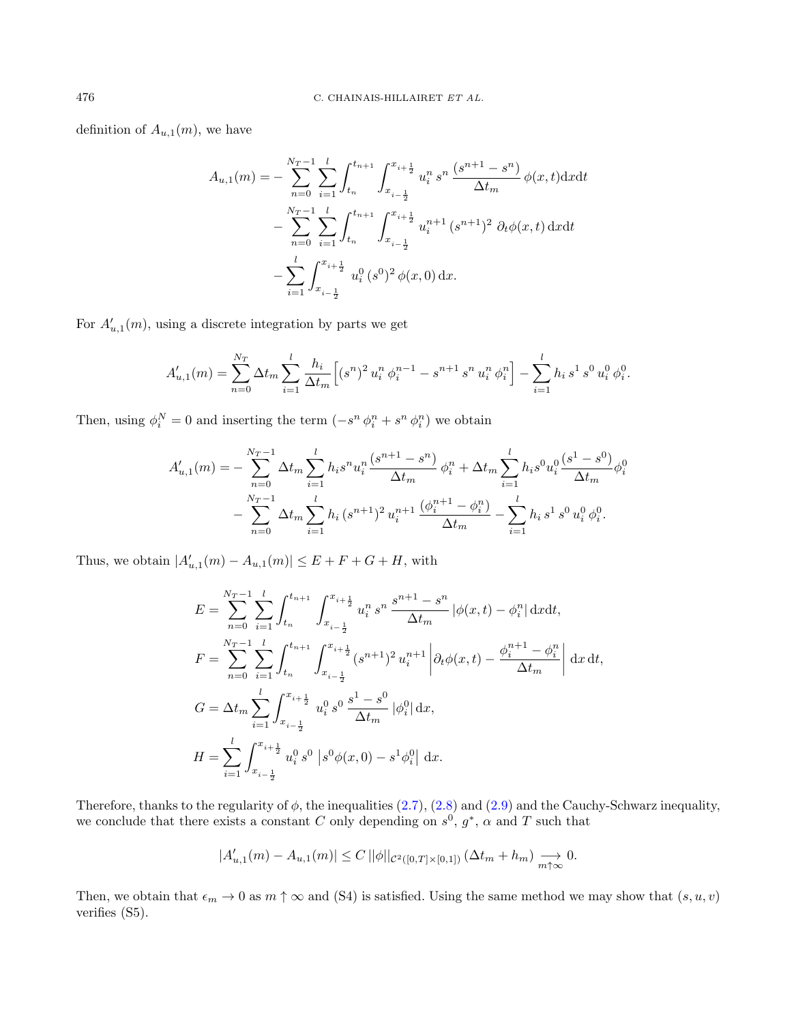definition of  $A_{u,1}(m)$ , we have

$$
A_{u,1}(m) = -\sum_{n=0}^{N_T-1} \sum_{i=1}^{l} \int_{t_n}^{t_{n+1}} \int_{x_{i-\frac{1}{2}}}^{x_{i+\frac{1}{2}}} u_i^n s^n \frac{(s^{n+1} - s^n)}{\Delta t_m} \phi(x, t) \, dx \, dt
$$

$$
- \sum_{n=0}^{N_T-1} \sum_{i=1}^{l} \int_{t_n}^{t_{n+1}} \int_{x_{i-\frac{1}{2}}}^{x_{i+\frac{1}{2}}} u_i^{n+1} \, (s^{n+1})^2 \, \partial_t \phi(x, t) \, dx \, dt
$$

$$
- \sum_{i=1}^{l} \int_{x_{i-\frac{1}{2}}}^{x_{i+\frac{1}{2}}} u_i^0 \, (s^0)^2 \, \phi(x, 0) \, dx.
$$

For  $A'_{u,1}(m)$ , using a discrete integration by parts we get

$$
A'_{u,1}(m) = \sum_{n=0}^{N_T} \Delta t_m \sum_{i=1}^l \frac{h_i}{\Delta t_m} \left[ (s^n)^2 u_i^n \phi_i^{n-1} - s^{n+1} s^n u_i^n \phi_i^n \right] - \sum_{i=1}^l h_i s^1 s^0 u_i^0 \phi_i^0.
$$

Then, using  $\phi_i^N = 0$  and inserting the term  $(-s^n \phi_i^n + s^n \phi_i^n)$  we obtain

$$
A'_{u,1}(m) = -\sum_{n=0}^{N_T-1} \Delta t_m \sum_{i=1}^l h_i s^n u_i^n \frac{(s^{n+1} - s^n)}{\Delta t_m} \phi_i^n + \Delta t_m \sum_{i=1}^l h_i s^0 u_i^0 \frac{(s^1 - s^0)}{\Delta t_m} \phi_i^0
$$
  
- 
$$
\sum_{n=0}^{N_T-1} \Delta t_m \sum_{i=1}^l h_i (s^{n+1})^2 u_i^{n+1} \frac{(\phi_i^{n+1} - \phi_i^n)}{\Delta t_m} - \sum_{i=1}^l h_i s^1 s^0 u_i^0 \phi_i^0.
$$

Thus, we obtain  $|A'_{u,1}(m) - A_{u,1}(m)| \le E + F + G + H$ , with

$$
E = \sum_{n=0}^{N_T-1} \sum_{i=1}^{l} \int_{t_n}^{t_{n+1}} \int_{x_{i-\frac{1}{2}}}^{x_{i+\frac{1}{2}}} u_i^n s^n \frac{s^{n+1} - s^n}{\Delta t_m} |\phi(x, t) - \phi_i^n| \, dx dt,
$$
  
\n
$$
F = \sum_{n=0}^{N_T-1} \sum_{i=1}^{l} \int_{t_n}^{t_{n+1}} \int_{x_{i-\frac{1}{2}}}^{x_{i+\frac{1}{2}}} (s^{n+1})^2 u_i^{n+1} |\partial_t \phi(x, t) - \frac{\phi_i^{n+1} - \phi_i^n}{\Delta t_m}| \, dx dt,
$$
  
\n
$$
G = \Delta t_m \sum_{i=1}^{l} \int_{x_{i-\frac{1}{2}}}^{x_{i+\frac{1}{2}}} u_i^0 s^0 \frac{s^1 - s^0}{\Delta t_m} |\phi_i^0| \, dx,
$$
  
\n
$$
H = \sum_{i=1}^{l} \int_{x_{i-\frac{1}{2}}}^{x_{i+\frac{1}{2}}} u_i^0 s^0 |s^0 \phi(x, 0) - s^1 \phi_i^0| \, dx.
$$

Therefore, thanks to the regularity of  $\phi$ , the inequalities [\(2.7\)](#page-5-2), [\(2.8\)](#page-5-3) and [\(2.9\)](#page-6-1) and the Cauchy-Schwarz inequality, we conclude that there exists a constant C only depending on  $s^0$ ,  $g^*$ ,  $\alpha$  and T such that

$$
|A'_{u,1}(m) - A_{u,1}(m)| \le C ||\phi||_{\mathcal{C}^{2}([0,T] \times [0,1])} (\Delta t_m + h_m) \xrightarrow[m \uparrow \infty]{} 0.
$$

Then, we obtain that  $\epsilon_m \to 0$  as  $m \uparrow \infty$  and (S4) is satisfied. Using the same method we may show that  $(s, u, v)$ verifies (S5).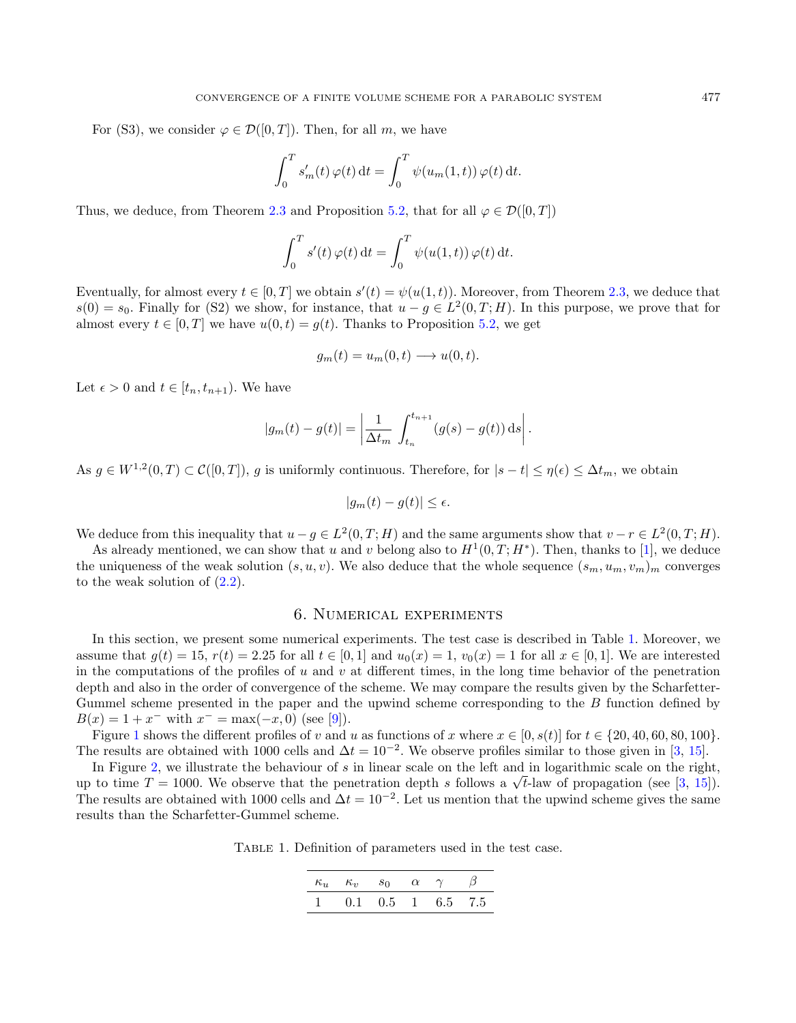For (S3), we consider  $\varphi \in \mathcal{D}([0,T])$ . Then, for all m, we have

$$
\int_0^T s'_m(t) \,\varphi(t) \,\mathrm{d}t = \int_0^T \psi(u_m(1,t)) \,\varphi(t) \,\mathrm{d}t.
$$

Thus, we deduce, from Theorem [2.3](#page-6-0) and Proposition [5.2,](#page-17-0) that for all  $\varphi \in \mathcal{D}([0,T])$ 

$$
\int_0^T s'(t)\,\varphi(t) \,\mathrm{d}t = \int_0^T \psi(u(1,t))\,\varphi(t) \,\mathrm{d}t.
$$

Eventually, for almost every  $t \in [0,T]$  we obtain  $s'(t) = \psi(u(1,t))$ . Moreover, from Theorem [2.3,](#page-6-0) we deduce that  $s(0) = s_0$ . Finally for (S2) we show, for instance, that  $u - g \in L^2(0,T;H)$ . In this purpose, we prove that for almost every  $t \in [0, T]$  we have  $u(0, t) = q(t)$ . Thanks to Proposition [5.2,](#page-17-0) we get

$$
g_m(t) = u_m(0, t) \longrightarrow u(0, t).
$$

Let  $\epsilon > 0$  and  $t \in [t_n, t_{n+1})$ . We have

$$
|g_m(t) - g(t)| = \left| \frac{1}{\Delta t_m} \int_{t_n}^{t_{n+1}} (g(s) - g(t)) ds \right|.
$$

As  $g \in W^{1,2}(0,T) \subset \mathcal{C}([0,T])$ , g is uniformly continuous. Therefore, for  $|s-t| \leq \eta(\epsilon) \leq \Delta t_m$ , we obtain

$$
|g_m(t) - g(t)| \le \epsilon.
$$

We deduce from this inequality that  $u-g \in L^2(0,T;H)$  and the same arguments show that  $v-r \in L^2(0,T;H)$ .

As already mentioned, we can show that u and v belong also to  $H^1(0,T;H^*)$ . Then, thanks to [\[1\]](#page-22-1), we deduce the uniqueness of the weak solution  $(s, u, v)$ . We also deduce that the whole sequence  $(s_m, u_m, v_m)_m$  converges to the weak solution of [\(2.2\)](#page-3-1).

## 6. Numerical experiments

<span id="page-20-0"></span>In this section, we present some numerical experiments. The test case is described in Table [1.](#page-20-1) Moreover, we assume that  $g(t) = 15$ ,  $r(t) = 2.25$  for all  $t \in [0, 1]$  and  $u_0(x) = 1$ ,  $v_0(x) = 1$  for all  $x \in [0, 1]$ . We are interested in the computations of the profiles of u and v at different times, in the long time behavior of the penetration depth and also in the order of convergence of the scheme. We may compare the results given by the Scharfetter-Gummel scheme presented in the paper and the upwind scheme corresponding to the B function defined by  $B(x) = 1 + x^{-}$  with  $x^{-} = \max(-x, 0)$  (see [\[9\]](#page-22-5)).

Figure [1](#page-21-0) shows the different profiles of v and u as functions of x where  $x \in [0, s(t)]$  for  $t \in \{20, 40, 60, 80, 100\}$ . The results are obtained with 1000 cells and  $\Delta t = 10^{-2}$ . We observe profiles similar to those given in [\[3,](#page-22-4) [15\]](#page-23-0).

In Figure [2,](#page-21-1) we illustrate the behaviour of s in linear scale on the left and in logarithmic scale on the right, In Figure 2, we inustrate the behaviour of s in linear scale on the left and in logarithmic scale on the right,<br>up to time  $T = 1000$ . We observe that the penetration depth s follows a  $\sqrt{t}$ -law of propagation (see [\[3,](#page-22-4) 1 The results are obtained with 1000 cells and  $\Delta t = 10^{-2}$ . Let us mention that the upwind scheme gives the same results than the Scharfetter-Gummel scheme.

Table 1. Definition of parameters used in the test case.

<span id="page-20-1"></span>

|  | $\kappa_u$ $\kappa_v$ $s_0$ $\alpha$ $\gamma$ $\beta$ |  |  |
|--|-------------------------------------------------------|--|--|
|  | $1 \t 0.1 \t 0.5 \t 1 \t 6.5 \t 7.5$                  |  |  |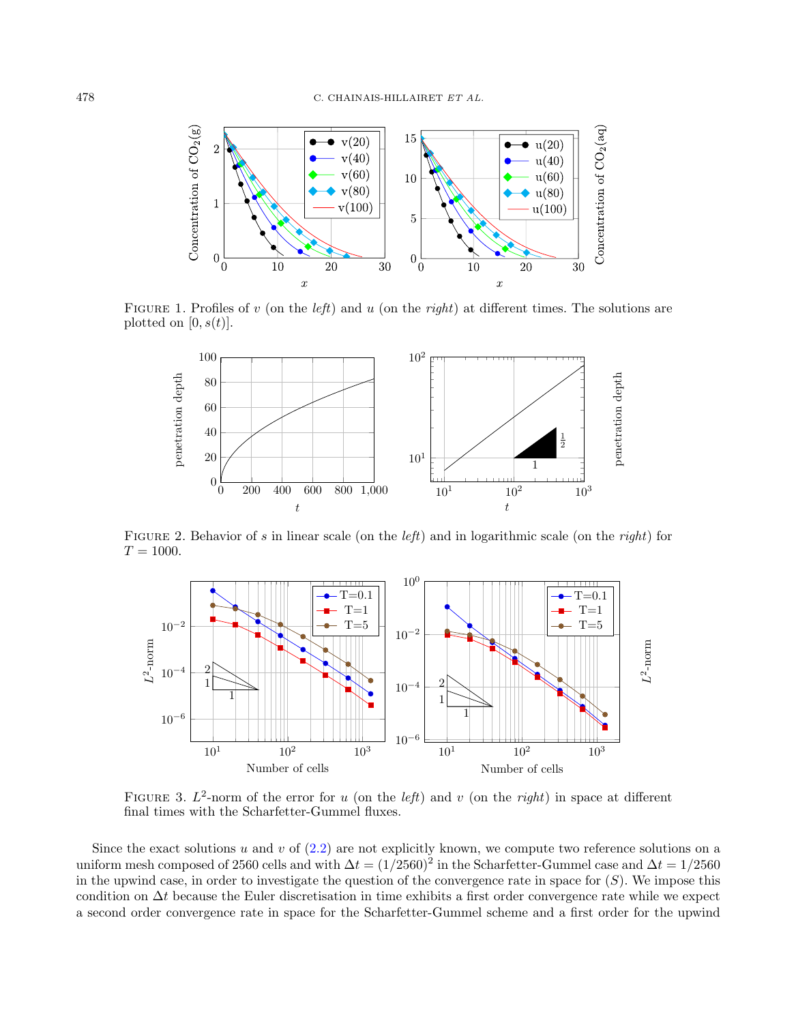

FIGURE 1. Profiles of v (on the *left*) and u (on the *right*) at different times. The solutions are plotted on  $[0, s(t)]$ .

<span id="page-21-0"></span>

<span id="page-21-1"></span>FIGURE 2. Behavior of s in linear scale (on the *left*) and in logarithmic scale (on the *right*) for  $T = 1000.$ 



<span id="page-21-2"></span>FIGURE 3.  $L^2$ -norm of the error for u (on the *left*) and v (on the *right*) in space at different final times with the Scharfetter-Gummel fluxes.

Since the exact solutions u and v of  $(2.2)$  are not explicitly known, we compute two reference solutions on a uniform mesh composed of 2560 cells and with  $\Delta t = (1/2560)^2$  in the Scharfetter-Gummel case and  $\Delta t = 1/2560$ in the upwind case, in order to investigate the question of the convergence rate in space for  $(S)$ . We impose this condition on ∆t because the Euler discretisation in time exhibits a first order convergence rate while we expect a second order convergence rate in space for the Scharfetter-Gummel scheme and a first order for the upwind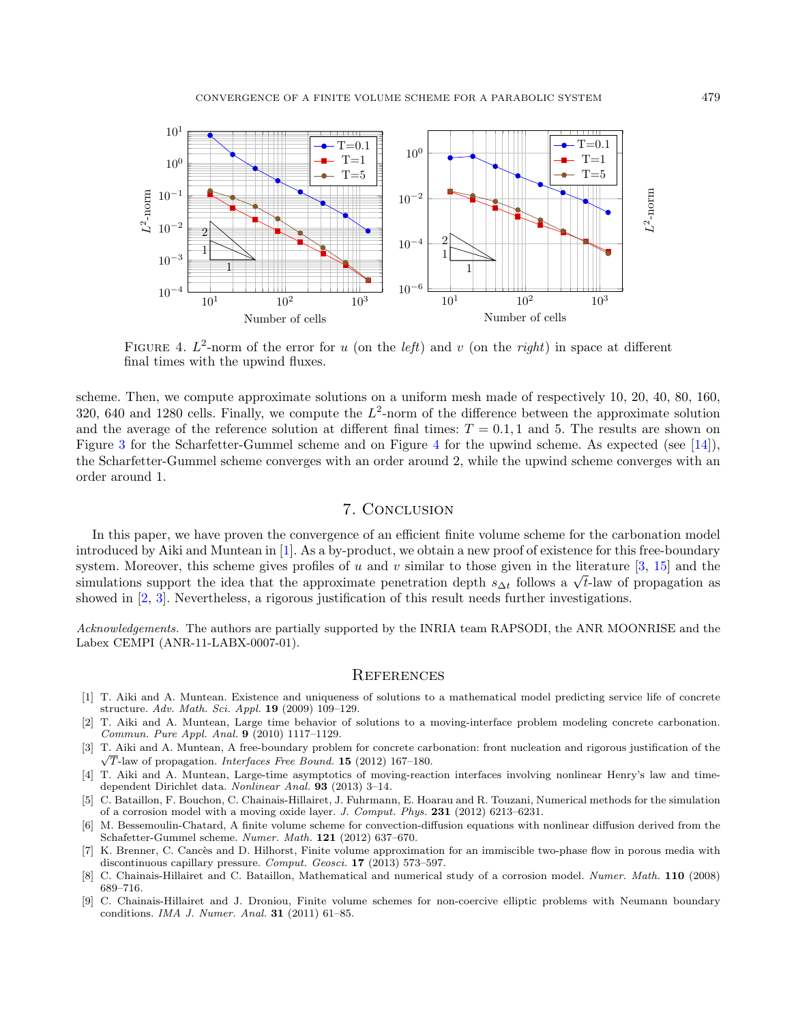

<span id="page-22-9"></span>FIGURE 4.  $L^2$ -norm of the error for u (on the *left*) and v (on the *right*) in space at different final times with the upwind fluxes.

scheme. Then, we compute approximate solutions on a uniform mesh made of respectively 10, 20, 40, 80, 160, 320, 640 and 1280 cells. Finally, we compute the  $L^2$ -norm of the difference between the approximate solution and the average of the reference solution at different final times:  $T = 0.1$ , 1 and 5. The results are shown on Figure [3](#page-21-2) for the Scharfetter-Gummel scheme and on Figure [4](#page-22-9) for the upwind scheme. As expected (see [\[14\]](#page-23-9)), the Scharfetter-Gummel scheme converges with an order around 2, while the upwind scheme converges with an order around 1.

# 7. Conclusion

In this paper, we have proven the convergence of an efficient finite volume scheme for the carbonation model introduced by Aiki and Muntean in [\[1\]](#page-22-1). As a by-product, we obtain a new proof of existence for this free-boundary system. Moreover, this scheme gives profiles of u and v similar to those given in the literature  $[3, 15]$  $[3, 15]$  $[3, 15]$  and the system. Moreover, this scheme gives profiles of u and v similar to those given in the iterature  $[\delta, 1\delta]$  and the simulations support the idea that the approximate penetration depth  $s_{\Delta t}$  follows a  $\sqrt{t}$ -law of prop showed in [\[2,](#page-22-3) [3\]](#page-22-4). Nevertheless, a rigorous justification of this result needs further investigations.

Acknowledgements. The authors are partially supported by the INRIA team RAPSODI, the ANR MOONRISE and the Labex CEMPI (ANR-11-LABX-0007-01).

## **REFERENCES**

- <span id="page-22-1"></span>[1] T. Aiki and A. Muntean. Existence and uniqueness of solutions to a mathematical model predicting service life of concrete structure. Adv. Math. Sci. Appl. 19 (2009) 109–129.
- <span id="page-22-3"></span>[2] T. Aiki and A. Muntean, Large time behavior of solutions to a moving-interface problem modeling concrete carbonation. Commun. Pure Appl. Anal. 9 (2010) 1117–1129.
- <span id="page-22-4"></span>[3] T. Aiki and A. Muntean, A free-boundary problem for concrete carbonation: front nucleation and rigorous justification of the √  $\sqrt{T}$ -law of propagation. *Interfaces Free Bound*. **15** (2012) 167–180.
- <span id="page-22-2"></span>[4] T. Aiki and A. Muntean, Large-time asymptotics of moving-reaction interfaces involving nonlinear Henry's law and timedependent Dirichlet data. Nonlinear Anal. 93 (2013) 3–14.
- <span id="page-22-0"></span>[5] C. Bataillon, F. Bouchon, C. Chainais-Hillairet, J. Fuhrmann, E. Hoarau and R. Touzani, Numerical methods for the simulation of a corrosion model with a moving oxide layer. J. Comput. Phys. 231 (2012) 6213–6231.
- <span id="page-22-6"></span>[6] M. Bessemoulin-Chatard, A finite volume scheme for convection-diffusion equations with nonlinear diffusion derived from the Schafetter-Gummel scheme. Numer. Math. 121 (2012) 637–670.
- <span id="page-22-7"></span>[7] K. Brenner, C. Cancès and D. Hilhorst, Finite volume approximation for an immiscible two-phase flow in porous media with discontinuous capillary pressure. Comput. Geosci. 17 (2013) 573–597.
- <span id="page-22-8"></span>[8] C. Chainais-Hillairet and C. Bataillon, Mathematical and numerical study of a corrosion model. Numer. Math. 110 (2008) 689–716.
- <span id="page-22-5"></span>[9] C. Chainais-Hillairet and J. Droniou, Finite volume schemes for non-coercive elliptic problems with Neumann boundary conditions. IMA J. Numer. Anal. 31 (2011) 61–85.